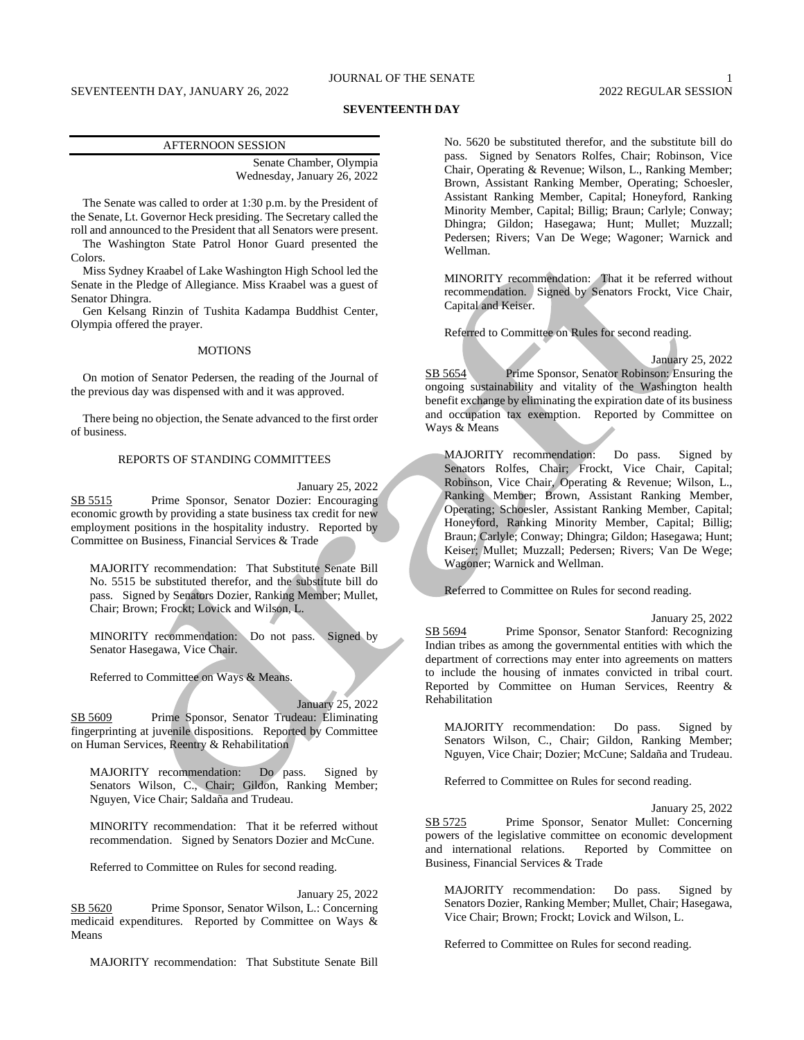# JOURNAL OF THE SENATE 1

# SEVENTEENTH DAY, JANUARY 26, 2022 2022 2022 2022 2022 REGULAR SESSION

#### **SEVENTEENTH DAY**

### AFTERNOON SESSION

Senate Chamber, Olympia Wednesday, January 26, 2022

The Senate was called to order at 1:30 p.m. by the President of the Senate, Lt. Governor Heck presiding. The Secretary called the roll and announced to the President that all Senators were present.

The Washington State Patrol Honor Guard presented the Colors.

Miss Sydney Kraabel of Lake Washington High School led the Senate in the Pledge of Allegiance. Miss Kraabel was a guest of Senator Dhingra.

Gen Kelsang Rinzin of Tushita Kadampa Buddhist Center, Olympia offered the prayer.

# **MOTIONS**

On motion of Senator Pedersen, the reading of the Journal of the previous day was dispensed with and it was approved.

There being no objection, the Senate advanced to the first order of business.

# REPORTS OF STANDING COMMITTEES

January 25, 2022

SB 5515 Prime Sponsor, Senator Dozier: Encouraging economic growth by providing a state business tax credit for new employment positions in the hospitality industry. Reported by Committee on Business, Financial Services & Trade

MAJORITY recommendation: That Substitute Senate Bill No. 5515 be substituted therefor, and the substitute bill do pass. Signed by Senators Dozier, Ranking Member; Mullet, Chair; Brown; Frockt; Lovick and Wilson, L.

MINORITY recommendation: Do not pass. Signed by Senator Hasegawa, Vice Chair.

Referred to Committee on Ways & Means.

January 25, 2022 SB 5609 Prime Sponsor, Senator Trudeau: Eliminating fingerprinting at juvenile dispositions. Reported by Committee on Human Services, Reentry & Rehabilitation

MAJORITY recommendation: Do pass. Signed by Senators Wilson, C., Chair; Gildon, Ranking Member; Nguyen, Vice Chair; Saldaña and Trudeau.

MINORITY recommendation: That it be referred without recommendation. Signed by Senators Dozier and McCune.

Referred to Committee on Rules for second reading.

January 25, 2022 SB 5620 Prime Sponsor, Senator Wilson, L.: Concerning medicaid expenditures. Reported by Committee on Ways & Means

MAJORITY recommendation: That Substitute Senate Bill

No. 5620 be substituted therefor, and the substitute bill do pass. Signed by Senators Rolfes, Chair; Robinson, Vice Chair, Operating & Revenue; Wilson, L., Ranking Member; Brown, Assistant Ranking Member, Operating; Schoesler, Assistant Ranking Member, Capital; Honeyford, Ranking Minority Member, Capital; Billig; Braun; Carlyle; Conway; Dhingra; Gildon; Hasegawa; Hunt; Mullet; Muzzall; Pedersen; Rivers; Van De Wege; Wagoner; Warnick and Wellman.

MINORITY recommendation: That it be referred without recommendation. Signed by Senators Frockt, Vice Chair, Capital and Keiser.

Referred to Committee on Rules for second reading.

January 25, 2022 SB 5654 Prime Sponsor, Senator Robinson: Ensuring the ongoing sustainability and vitality of the Washington health benefit exchange by eliminating the expiration date of its business and occupation tax exemption. Reported by Committee on Ways & Means

MAJORITY recommendation: Do pass. Signed by Senators Rolfes, Chair; Frockt, Vice Chair, Capital; Robinson, Vice Chair, Operating & Revenue; Wilson, L., Ranking Member; Brown, Assistant Ranking Member, Operating; Schoesler, Assistant Ranking Member, Capital; Honeyford, Ranking Minority Member, Capital; Billig; Braun; Carlyle; Conway; Dhingra; Gildon; Hasegawa; Hunt; Keiser; Mullet; Muzzall; Pedersen; Rivers; Van De Wege; Wagoner; Warnick and Wellman.

Referred to Committee on Rules for second reading.

January 25, 2022

SB 5694 Prime Sponsor, Senator Stanford: Recognizing Indian tribes as among the governmental entities with which the department of corrections may enter into agreements on matters to include the housing of inmates convicted in tribal court. Reported by Committee on Human Services, Reentry & Rehabilitation

MAJORITY recommendation: Do pass. Signed by Senators Wilson, C., Chair; Gildon, Ranking Member; Nguyen, Vice Chair; Dozier; McCune; Saldaña and Trudeau.

Referred to Committee on Rules for second reading.

January 25, 2022

SB 5725 Prime Sponsor, Senator Mullet: Concerning powers of the legislative committee on economic development and international relations. Reported by Committee on Business, Financial Services & Trade

MAJORITY recommendation: Do pass. Signed by Senators Dozier, Ranking Member; Mullet, Chair; Hasegawa, Vice Chair; Brown; Frockt; Lovick and Wilson, L.

Referred to Committee on Rules for second reading.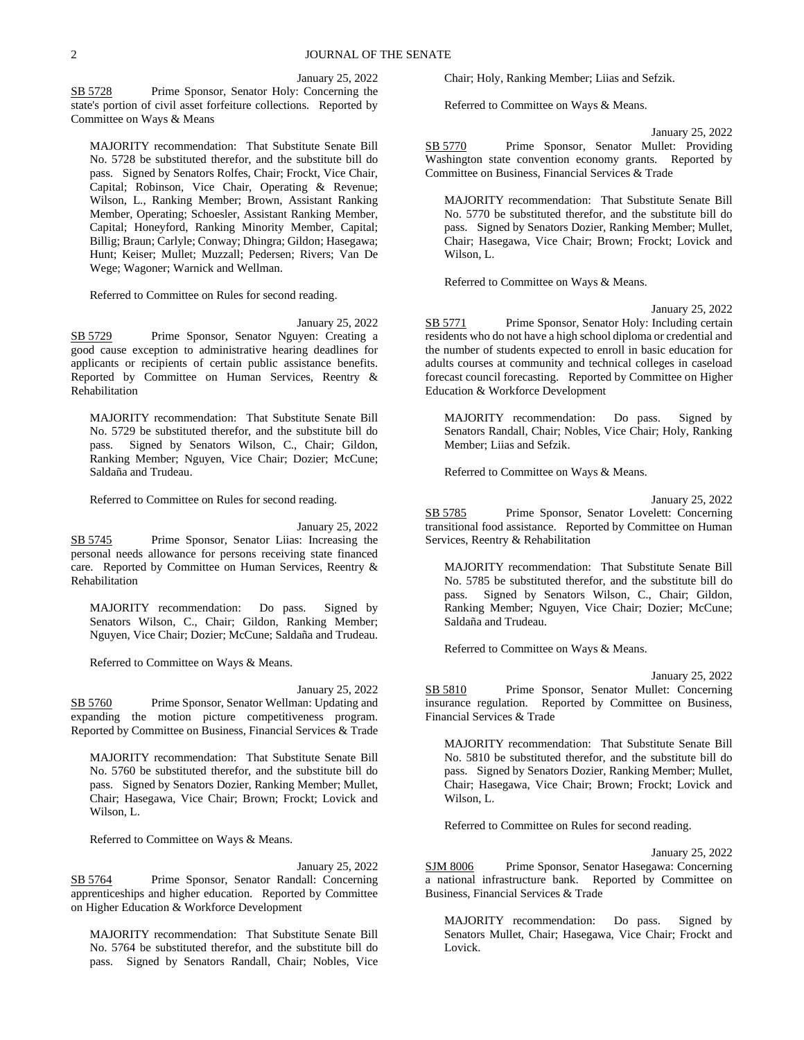January 25, 2022

SB 5728 Prime Sponsor, Senator Holy: Concerning the state's portion of civil asset forfeiture collections. Reported by Committee on Ways & Means

MAJORITY recommendation: That Substitute Senate Bill No. 5728 be substituted therefor, and the substitute bill do pass. Signed by Senators Rolfes, Chair; Frockt, Vice Chair, Capital; Robinson, Vice Chair, Operating & Revenue; Wilson, L., Ranking Member; Brown, Assistant Ranking Member, Operating; Schoesler, Assistant Ranking Member, Capital; Honeyford, Ranking Minority Member, Capital; Billig; Braun; Carlyle; Conway; Dhingra; Gildon; Hasegawa; Hunt; Keiser; Mullet; Muzzall; Pedersen; Rivers; Van De Wege; Wagoner; Warnick and Wellman.

Referred to Committee on Rules for second reading.

January 25, 2022

SB 5729 Prime Sponsor, Senator Nguyen: Creating a good cause exception to administrative hearing deadlines for applicants or recipients of certain public assistance benefits. Reported by Committee on Human Services, Reentry & Rehabilitation

MAJORITY recommendation: That Substitute Senate Bill No. 5729 be substituted therefor, and the substitute bill do pass. Signed by Senators Wilson, C., Chair; Gildon, Ranking Member; Nguyen, Vice Chair; Dozier; McCune; Saldaña and Trudeau.

Referred to Committee on Rules for second reading.

January 25, 2022

SB 5745 Prime Sponsor, Senator Liias: Increasing the personal needs allowance for persons receiving state financed care. Reported by Committee on Human Services, Reentry & Rehabilitation

MAJORITY recommendation: Do pass. Signed by Senators Wilson, C., Chair; Gildon, Ranking Member; Nguyen, Vice Chair; Dozier; McCune; Saldaña and Trudeau.

Referred to Committee on Ways & Means.

January 25, 2022 SB 5760 Prime Sponsor, Senator Wellman: Updating and expanding the motion picture competitiveness program. Reported by Committee on Business, Financial Services & Trade

MAJORITY recommendation: That Substitute Senate Bill No. 5760 be substituted therefor, and the substitute bill do pass. Signed by Senators Dozier, Ranking Member; Mullet, Chair; Hasegawa, Vice Chair; Brown; Frockt; Lovick and Wilson, L.

Referred to Committee on Ways & Means.

January 25, 2022 SB 5764 Prime Sponsor, Senator Randall: Concerning apprenticeships and higher education. Reported by Committee on Higher Education & Workforce Development

MAJORITY recommendation: That Substitute Senate Bill No. 5764 be substituted therefor, and the substitute bill do pass. Signed by Senators Randall, Chair; Nobles, Vice

Chair; Holy, Ranking Member; Liias and Sefzik.

Referred to Committee on Ways & Means.

January 25, 2022 SB 5770 Prime Sponsor, Senator Mullet: Providing Washington state convention economy grants. Reported by Committee on Business, Financial Services & Trade

MAJORITY recommendation: That Substitute Senate Bill No. 5770 be substituted therefor, and the substitute bill do pass. Signed by Senators Dozier, Ranking Member; Mullet, Chair; Hasegawa, Vice Chair; Brown; Frockt; Lovick and Wilson, L.

Referred to Committee on Ways & Means.

January 25, 2022

SB 5771 Prime Sponsor, Senator Holy: Including certain residents who do not have a high school diploma or credential and the number of students expected to enroll in basic education for adults courses at community and technical colleges in caseload forecast council forecasting. Reported by Committee on Higher Education & Workforce Development

MAJORITY recommendation: Do pass. Signed by Senators Randall, Chair; Nobles, Vice Chair; Holy, Ranking Member; Liias and Sefzik.

Referred to Committee on Ways & Means.

January 25, 2022

SB 5785 Prime Sponsor, Senator Lovelett: Concerning transitional food assistance. Reported by Committee on Human Services, Reentry & Rehabilitation

MAJORITY recommendation: That Substitute Senate Bill No. 5785 be substituted therefor, and the substitute bill do pass. Signed by Senators Wilson, C., Chair; Gildon, Ranking Member; Nguyen, Vice Chair; Dozier; McCune; Saldaña and Trudeau.

Referred to Committee on Ways & Means.

January 25, 2022 SB 5810 Prime Sponsor, Senator Mullet: Concerning insurance regulation. Reported by Committee on Business, Financial Services & Trade

MAJORITY recommendation: That Substitute Senate Bill No. 5810 be substituted therefor, and the substitute bill do pass. Signed by Senators Dozier, Ranking Member; Mullet, Chair; Hasegawa, Vice Chair; Brown; Frockt; Lovick and Wilson, L.

Referred to Committee on Rules for second reading.

January 25, 2022

SJM 8006 Prime Sponsor, Senator Hasegawa: Concerning a national infrastructure bank. Reported by Committee on Business, Financial Services & Trade

MAJORITY recommendation: Do pass. Signed by Senators Mullet, Chair; Hasegawa, Vice Chair; Frockt and Lovick.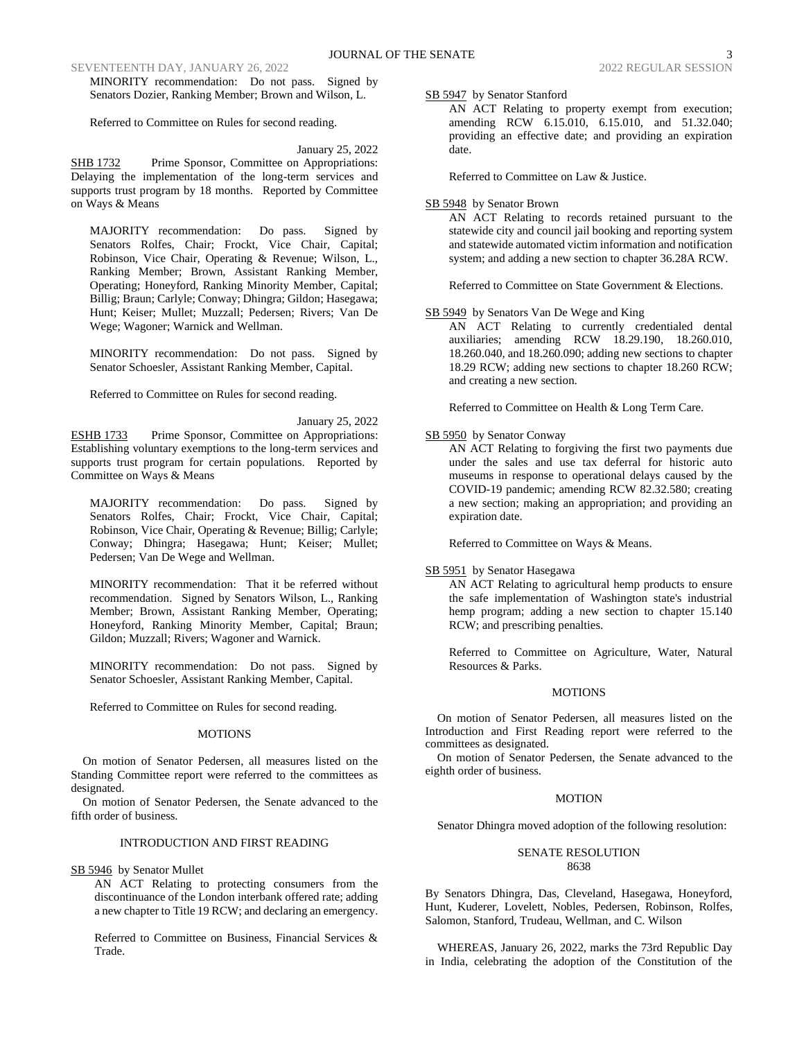SEVENTEENTH DAY, JANUARY 26, 2022

MINORITY recommendation: Do not pass. Signed by Senators Dozier, Ranking Member; Brown and Wilson, L.

Referred to Committee on Rules for second reading.

January 25, 2022

SHB 1732 Prime Sponsor, Committee on Appropriations: Delaying the implementation of the long-term services and supports trust program by 18 months. Reported by Committee on Ways & Means

MAJORITY recommendation: Do pass. Signed by Senators Rolfes, Chair; Frockt, Vice Chair, Capital; Robinson, Vice Chair, Operating & Revenue; Wilson, L., Ranking Member; Brown, Assistant Ranking Member, Operating; Honeyford, Ranking Minority Member, Capital; Billig; Braun; Carlyle; Conway; Dhingra; Gildon; Hasegawa; Hunt; Keiser; Mullet; Muzzall; Pedersen; Rivers; Van De Wege; Wagoner; Warnick and Wellman.

MINORITY recommendation: Do not pass. Signed by Senator Schoesler, Assistant Ranking Member, Capital.

Referred to Committee on Rules for second reading.

January 25, 2022 ESHB 1733 Prime Sponsor, Committee on Appropriations: Establishing voluntary exemptions to the long-term services and supports trust program for certain populations. Reported by Committee on Ways & Means

MAJORITY recommendation: Do pass. Signed by Senators Rolfes, Chair; Frockt, Vice Chair, Capital; Robinson, Vice Chair, Operating & Revenue; Billig; Carlyle; Conway; Dhingra; Hasegawa; Hunt; Keiser; Mullet; Pedersen; Van De Wege and Wellman.

MINORITY recommendation: That it be referred without recommendation. Signed by Senators Wilson, L., Ranking Member; Brown, Assistant Ranking Member, Operating; Honeyford, Ranking Minority Member, Capital; Braun; Gildon; Muzzall; Rivers; Wagoner and Warnick.

MINORITY recommendation: Do not pass. Signed by Senator Schoesler, Assistant Ranking Member, Capital.

Referred to Committee on Rules for second reading.

#### **MOTIONS**

On motion of Senator Pedersen, all measures listed on the Standing Committee report were referred to the committees as designated.

On motion of Senator Pedersen, the Senate advanced to the fifth order of business.

# INTRODUCTION AND FIRST READING

SB 5946 by Senator Mullet

AN ACT Relating to protecting consumers from the discontinuance of the London interbank offered rate; adding a new chapter to Title 19 RCW; and declaring an emergency.

Referred to Committee on Business, Financial Services & Trade.

SB 5947 by Senator Stanford

AN ACT Relating to property exempt from execution; amending RCW 6.15.010, 6.15.010, and 51.32.040; providing an effective date; and providing an expiration date.

Referred to Committee on Law & Justice.

# SB 5948 by Senator Brown

AN ACT Relating to records retained pursuant to the statewide city and council jail booking and reporting system and statewide automated victim information and notification system; and adding a new section to chapter 36.28A RCW.

Referred to Committee on State Government & Elections.

# SB 5949 by Senators Van De Wege and King

AN ACT Relating to currently credentialed dental auxiliaries; amending RCW 18.29.190, 18.260.010, 18.260.040, and 18.260.090; adding new sections to chapter 18.29 RCW; adding new sections to chapter 18.260 RCW; and creating a new section.

Referred to Committee on Health & Long Term Care.

### SB 5950 by Senator Conway

AN ACT Relating to forgiving the first two payments due under the sales and use tax deferral for historic auto museums in response to operational delays caused by the COVID-19 pandemic; amending RCW 82.32.580; creating a new section; making an appropriation; and providing an expiration date.

Referred to Committee on Ways & Means.

# SB 5951 by Senator Hasegawa

AN ACT Relating to agricultural hemp products to ensure the safe implementation of Washington state's industrial hemp program; adding a new section to chapter 15.140 RCW; and prescribing penalties.

Referred to Committee on Agriculture, Water, Natural Resources & Parks.

# **MOTIONS**

On motion of Senator Pedersen, all measures listed on the Introduction and First Reading report were referred to the committees as designated.

On motion of Senator Pedersen, the Senate advanced to the eighth order of business.

### MOTION

Senator Dhingra moved adoption of the following resolution:

### SENATE RESOLUTION 8638

By Senators Dhingra, Das, Cleveland, Hasegawa, Honeyford, Hunt, Kuderer, Lovelett, Nobles, Pedersen, Robinson, Rolfes, Salomon, Stanford, Trudeau, Wellman, and C. Wilson

WHEREAS, January 26, 2022, marks the 73rd Republic Day in India, celebrating the adoption of the Constitution of the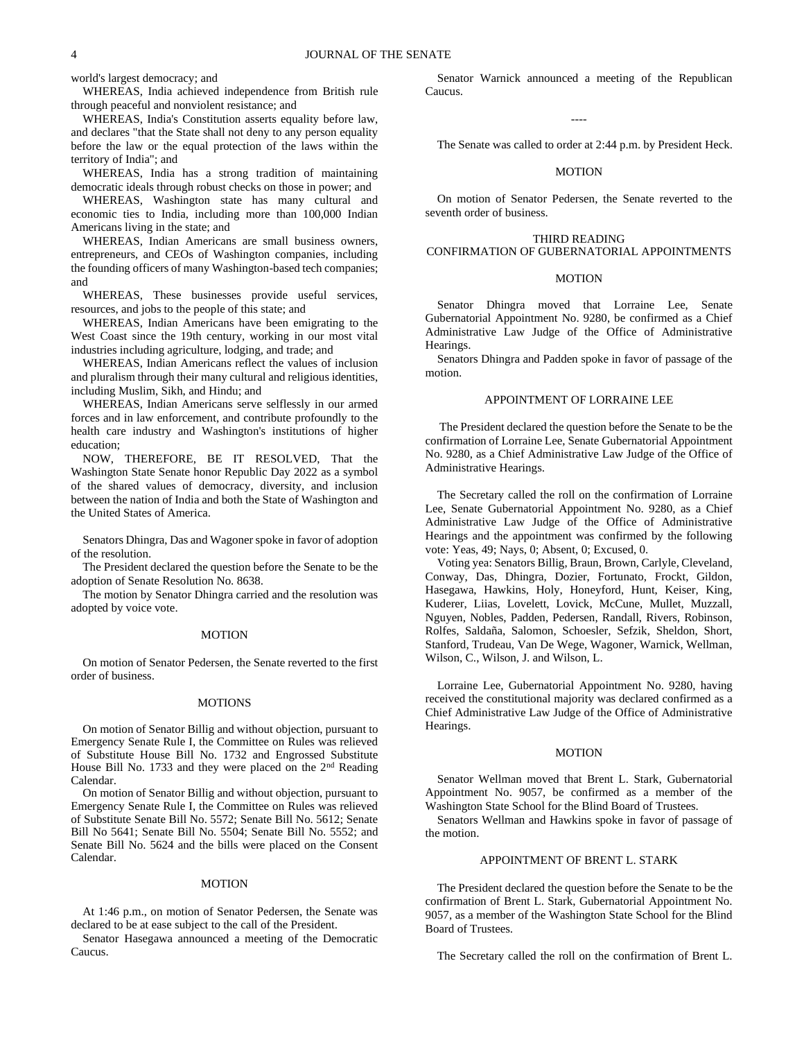world's largest democracy; and

WHEREAS, India achieved independence from British rule through peaceful and nonviolent resistance; and

WHEREAS, India's Constitution asserts equality before law, and declares "that the State shall not deny to any person equality before the law or the equal protection of the laws within the territory of India"; and

WHEREAS, India has a strong tradition of maintaining democratic ideals through robust checks on those in power; and

WHEREAS, Washington state has many cultural and economic ties to India, including more than 100,000 Indian Americans living in the state; and

WHEREAS, Indian Americans are small business owners, entrepreneurs, and CEOs of Washington companies, including the founding officers of many Washington-based tech companies; and

WHEREAS, These businesses provide useful services, resources, and jobs to the people of this state; and

WHEREAS, Indian Americans have been emigrating to the West Coast since the 19th century, working in our most vital industries including agriculture, lodging, and trade; and

WHEREAS, Indian Americans reflect the values of inclusion and pluralism through their many cultural and religious identities, including Muslim, Sikh, and Hindu; and

WHEREAS, Indian Americans serve selflessly in our armed forces and in law enforcement, and contribute profoundly to the health care industry and Washington's institutions of higher education;

NOW, THEREFORE, BE IT RESOLVED, That the Washington State Senate honor Republic Day 2022 as a symbol of the shared values of democracy, diversity, and inclusion between the nation of India and both the State of Washington and the United States of America.

Senators Dhingra, Das and Wagoner spoke in favor of adoption of the resolution.

The President declared the question before the Senate to be the adoption of Senate Resolution No. 8638.

The motion by Senator Dhingra carried and the resolution was adopted by voice vote.

# **MOTION**

On motion of Senator Pedersen, the Senate reverted to the first order of business.

#### MOTIONS

On motion of Senator Billig and without objection, pursuant to Emergency Senate Rule I, the Committee on Rules was relieved of Substitute House Bill No. 1732 and Engrossed Substitute House Bill No. 1733 and they were placed on the 2<sup>nd</sup> Reading Calendar.

On motion of Senator Billig and without objection, pursuant to Emergency Senate Rule I, the Committee on Rules was relieved of Substitute Senate Bill No. 5572; Senate Bill No. 5612; Senate Bill No 5641; Senate Bill No. 5504; Senate Bill No. 5552; and Senate Bill No. 5624 and the bills were placed on the Consent Calendar.

#### MOTION

At 1:46 p.m., on motion of Senator Pedersen, the Senate was declared to be at ease subject to the call of the President.

Senator Hasegawa announced a meeting of the Democratic Caucus.

Senator Warnick announced a meeting of the Republican Caucus.

----

The Senate was called to order at 2:44 p.m. by President Heck.

# MOTION

On motion of Senator Pedersen, the Senate reverted to the seventh order of business.

# THIRD READING

# CONFIRMATION OF GUBERNATORIAL APPOINTMENTS

#### MOTION

Senator Dhingra moved that Lorraine Lee, Senate Gubernatorial Appointment No. 9280, be confirmed as a Chief Administrative Law Judge of the Office of Administrative Hearings.

Senators Dhingra and Padden spoke in favor of passage of the motion.

# APPOINTMENT OF LORRAINE LEE

The President declared the question before the Senate to be the confirmation of Lorraine Lee, Senate Gubernatorial Appointment No. 9280, as a Chief Administrative Law Judge of the Office of Administrative Hearings.

The Secretary called the roll on the confirmation of Lorraine Lee, Senate Gubernatorial Appointment No. 9280, as a Chief Administrative Law Judge of the Office of Administrative Hearings and the appointment was confirmed by the following vote: Yeas, 49; Nays, 0; Absent, 0; Excused, 0.

Voting yea: Senators Billig, Braun, Brown, Carlyle, Cleveland, Conway, Das, Dhingra, Dozier, Fortunato, Frockt, Gildon, Hasegawa, Hawkins, Holy, Honeyford, Hunt, Keiser, King, Kuderer, Liias, Lovelett, Lovick, McCune, Mullet, Muzzall, Nguyen, Nobles, Padden, Pedersen, Randall, Rivers, Robinson, Rolfes, Saldaña, Salomon, Schoesler, Sefzik, Sheldon, Short, Stanford, Trudeau, Van De Wege, Wagoner, Warnick, Wellman, Wilson, C., Wilson, J. and Wilson, L.

Lorraine Lee, Gubernatorial Appointment No. 9280, having received the constitutional majority was declared confirmed as a Chief Administrative Law Judge of the Office of Administrative Hearings.

#### MOTION

Senator Wellman moved that Brent L. Stark, Gubernatorial Appointment No. 9057, be confirmed as a member of the Washington State School for the Blind Board of Trustees.

Senators Wellman and Hawkins spoke in favor of passage of the motion.

### APPOINTMENT OF BRENT L. STARK

The President declared the question before the Senate to be the confirmation of Brent L. Stark, Gubernatorial Appointment No. 9057, as a member of the Washington State School for the Blind Board of Trustees.

The Secretary called the roll on the confirmation of Brent L.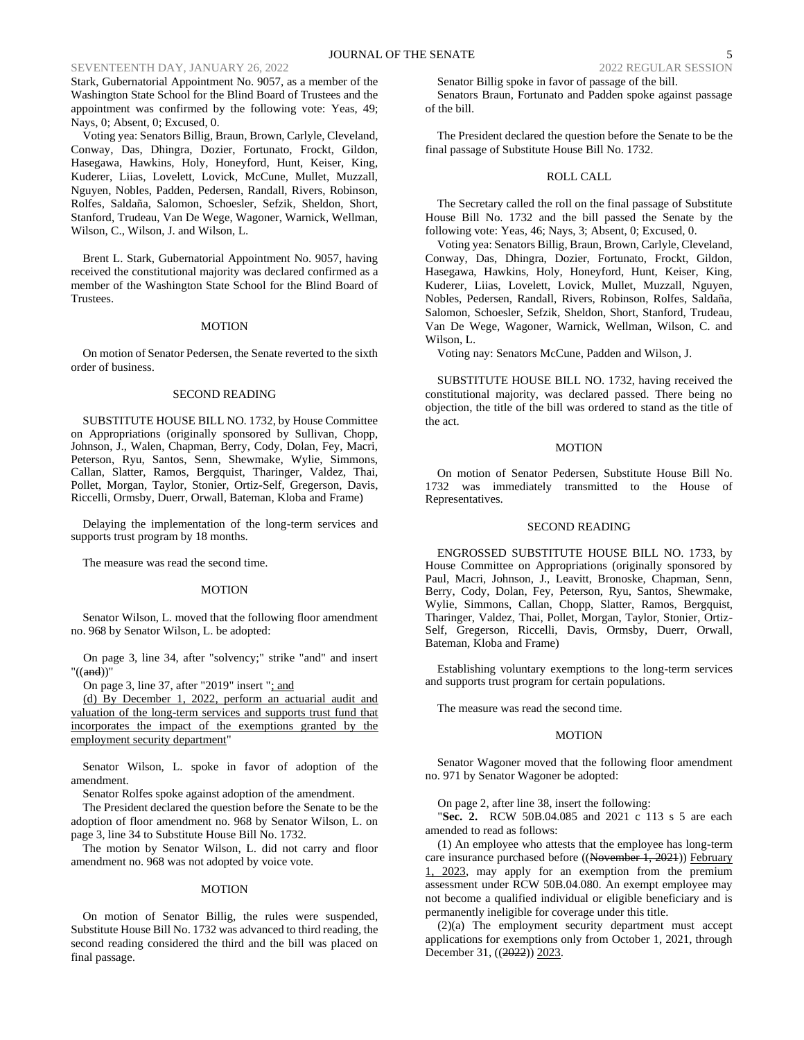Stark, Gubernatorial Appointment No. 9057, as a member of the Washington State School for the Blind Board of Trustees and the appointment was confirmed by the following vote: Yeas, 49; Nays, 0; Absent, 0; Excused, 0.

Voting yea: Senators Billig, Braun, Brown, Carlyle, Cleveland, Conway, Das, Dhingra, Dozier, Fortunato, Frockt, Gildon, Hasegawa, Hawkins, Holy, Honeyford, Hunt, Keiser, King, Kuderer, Liias, Lovelett, Lovick, McCune, Mullet, Muzzall, Nguyen, Nobles, Padden, Pedersen, Randall, Rivers, Robinson, Rolfes, Saldaña, Salomon, Schoesler, Sefzik, Sheldon, Short, Stanford, Trudeau, Van De Wege, Wagoner, Warnick, Wellman, Wilson, C., Wilson, J. and Wilson, L.

Brent L. Stark, Gubernatorial Appointment No. 9057, having received the constitutional majority was declared confirmed as a member of the Washington State School for the Blind Board of Trustees.

#### MOTION

On motion of Senator Pedersen, the Senate reverted to the sixth order of business.

#### SECOND READING

SUBSTITUTE HOUSE BILL NO. 1732, by House Committee on Appropriations (originally sponsored by Sullivan, Chopp, Johnson, J., Walen, Chapman, Berry, Cody, Dolan, Fey, Macri, Peterson, Ryu, Santos, Senn, Shewmake, Wylie, Simmons, Callan, Slatter, Ramos, Bergquist, Tharinger, Valdez, Thai, Pollet, Morgan, Taylor, Stonier, Ortiz-Self, Gregerson, Davis, Riccelli, Ormsby, Duerr, Orwall, Bateman, Kloba and Frame)

Delaying the implementation of the long-term services and supports trust program by 18 months.

The measure was read the second time.

#### MOTION

Senator Wilson, L. moved that the following floor amendment no. 968 by Senator Wilson, L. be adopted:

On page 3, line 34, after "solvency;" strike "and" and insert "((and))"

On page 3, line 37, after "2019" insert "; and

(d) By December 1, 2022, perform an actuarial audit and valuation of the long-term services and supports trust fund that incorporates the impact of the exemptions granted by the employment security department"

Senator Wilson, L. spoke in favor of adoption of the amendment.

Senator Rolfes spoke against adoption of the amendment.

The President declared the question before the Senate to be the adoption of floor amendment no. 968 by Senator Wilson, L. on page 3, line 34 to Substitute House Bill No. 1732.

The motion by Senator Wilson, L. did not carry and floor amendment no. 968 was not adopted by voice vote.

#### MOTION

On motion of Senator Billig, the rules were suspended, Substitute House Bill No. 1732 was advanced to third reading, the second reading considered the third and the bill was placed on final passage.

Senator Billig spoke in favor of passage of the bill. Senators Braun, Fortunato and Padden spoke against passage of the bill.

The President declared the question before the Senate to be the final passage of Substitute House Bill No. 1732.

#### ROLL CALL

The Secretary called the roll on the final passage of Substitute House Bill No. 1732 and the bill passed the Senate by the following vote: Yeas, 46; Nays, 3; Absent, 0; Excused, 0.

Voting yea: Senators Billig, Braun, Brown, Carlyle, Cleveland, Conway, Das, Dhingra, Dozier, Fortunato, Frockt, Gildon, Hasegawa, Hawkins, Holy, Honeyford, Hunt, Keiser, King, Kuderer, Liias, Lovelett, Lovick, Mullet, Muzzall, Nguyen, Nobles, Pedersen, Randall, Rivers, Robinson, Rolfes, Saldaña, Salomon, Schoesler, Sefzik, Sheldon, Short, Stanford, Trudeau, Van De Wege, Wagoner, Warnick, Wellman, Wilson, C. and Wilson, L.

Voting nay: Senators McCune, Padden and Wilson, J.

SUBSTITUTE HOUSE BILL NO. 1732, having received the constitutional majority, was declared passed. There being no objection, the title of the bill was ordered to stand as the title of the act.

#### MOTION

On motion of Senator Pedersen, Substitute House Bill No. 1732 was immediately transmitted to the House of Representatives.

### SECOND READING

ENGROSSED SUBSTITUTE HOUSE BILL NO. 1733, by House Committee on Appropriations (originally sponsored by Paul, Macri, Johnson, J., Leavitt, Bronoske, Chapman, Senn, Berry, Cody, Dolan, Fey, Peterson, Ryu, Santos, Shewmake, Wylie, Simmons, Callan, Chopp, Slatter, Ramos, Bergquist, Tharinger, Valdez, Thai, Pollet, Morgan, Taylor, Stonier, Ortiz-Self, Gregerson, Riccelli, Davis, Ormsby, Duerr, Orwall, Bateman, Kloba and Frame)

Establishing voluntary exemptions to the long-term services and supports trust program for certain populations.

The measure was read the second time.

### MOTION

Senator Wagoner moved that the following floor amendment no. 971 by Senator Wagoner be adopted:

On page 2, after line 38, insert the following:

"**Sec. 2.** RCW 50B.04.085 and 2021 c 113 s 5 are each amended to read as follows:

(1) An employee who attests that the employee has long-term care insurance purchased before ((November 1, 2021)) February 1, 2023, may apply for an exemption from the premium assessment under RCW 50B.04.080. An exempt employee may not become a qualified individual or eligible beneficiary and is permanently ineligible for coverage under this title.

(2)(a) The employment security department must accept applications for exemptions only from October 1, 2021, through December 31, ((2022)) 2023.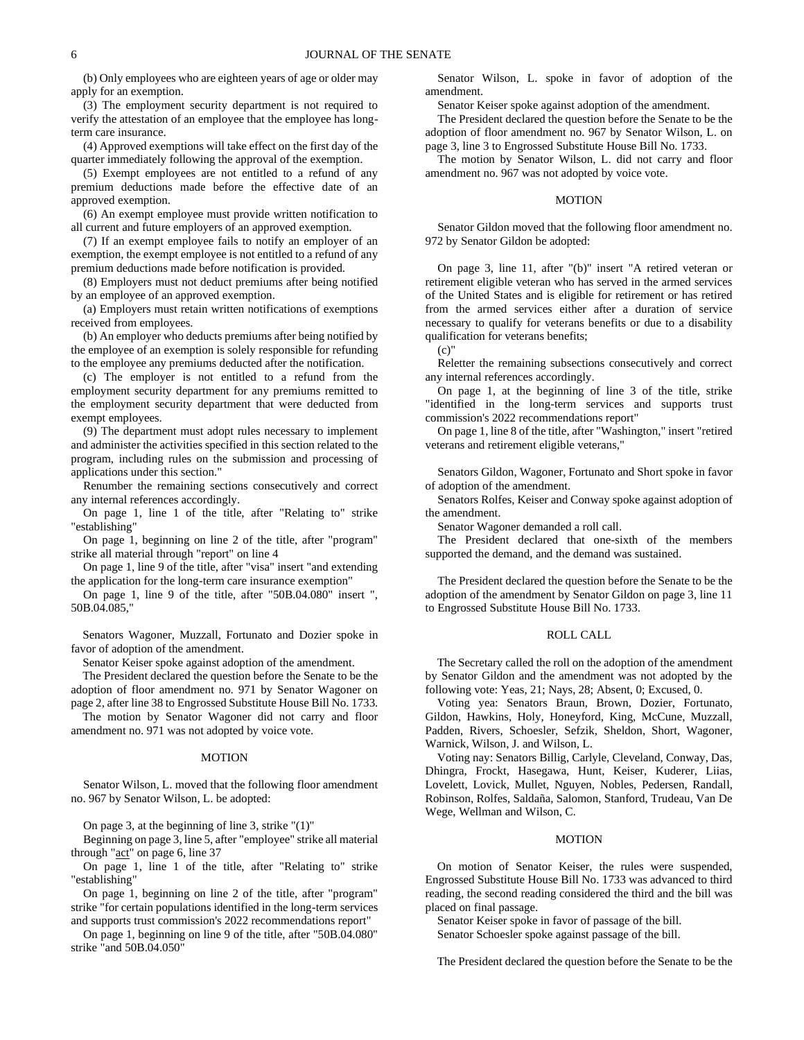(b) Only employees who are eighteen years of age or older may apply for an exemption.

(3) The employment security department is not required to verify the attestation of an employee that the employee has longterm care insurance.

(4) Approved exemptions will take effect on the first day of the quarter immediately following the approval of the exemption.

(5) Exempt employees are not entitled to a refund of any premium deductions made before the effective date of an approved exemption.

(6) An exempt employee must provide written notification to all current and future employers of an approved exemption.

(7) If an exempt employee fails to notify an employer of an exemption, the exempt employee is not entitled to a refund of any premium deductions made before notification is provided.

(8) Employers must not deduct premiums after being notified by an employee of an approved exemption.

(a) Employers must retain written notifications of exemptions received from employees.

(b) An employer who deducts premiums after being notified by the employee of an exemption is solely responsible for refunding to the employee any premiums deducted after the notification.

(c) The employer is not entitled to a refund from the employment security department for any premiums remitted to the employment security department that were deducted from exempt employees.

(9) The department must adopt rules necessary to implement and administer the activities specified in this section related to the program, including rules on the submission and processing of applications under this section."

Renumber the remaining sections consecutively and correct any internal references accordingly.

On page 1, line 1 of the title, after "Relating to" strike "establishing"

On page 1, beginning on line 2 of the title, after "program" strike all material through "report" on line 4

On page 1, line 9 of the title, after "visa" insert "and extending the application for the long-term care insurance exemption"

On page 1, line 9 of the title, after "50B.04.080" insert ", 50B.04.085,"

Senators Wagoner, Muzzall, Fortunato and Dozier spoke in favor of adoption of the amendment.

Senator Keiser spoke against adoption of the amendment.

The President declared the question before the Senate to be the adoption of floor amendment no. 971 by Senator Wagoner on page 2, after line 38 to Engrossed Substitute House Bill No. 1733.

The motion by Senator Wagoner did not carry and floor amendment no. 971 was not adopted by voice vote.

### MOTION

Senator Wilson, L. moved that the following floor amendment no. 967 by Senator Wilson, L. be adopted:

On page 3, at the beginning of line 3, strike "(1)"

Beginning on page 3, line 5, after "employee" strike all material through "act" on page 6, line 37

On page 1, line 1 of the title, after "Relating to" strike "establishing"

On page 1, beginning on line 2 of the title, after "program" strike "for certain populations identified in the long-term services and supports trust commission's 2022 recommendations report"

On page 1, beginning on line 9 of the title, after "50B.04.080" strike "and 50B.04.050"

Senator Wilson, L. spoke in favor of adoption of the amendment.

Senator Keiser spoke against adoption of the amendment.

The President declared the question before the Senate to be the adoption of floor amendment no. 967 by Senator Wilson, L. on page 3, line 3 to Engrossed Substitute House Bill No. 1733.

The motion by Senator Wilson, L. did not carry and floor amendment no. 967 was not adopted by voice vote.

### MOTION

Senator Gildon moved that the following floor amendment no. 972 by Senator Gildon be adopted:

On page 3, line 11, after "(b)" insert "A retired veteran or retirement eligible veteran who has served in the armed services of the United States and is eligible for retirement or has retired from the armed services either after a duration of service necessary to qualify for veterans benefits or due to a disability qualification for veterans benefits;

 $(c)$ "

Reletter the remaining subsections consecutively and correct any internal references accordingly.

On page 1, at the beginning of line 3 of the title, strike "identified in the long-term services and supports trust commission's 2022 recommendations report"

On page 1, line 8 of the title, after "Washington," insert "retired veterans and retirement eligible veterans,"

Senators Gildon, Wagoner, Fortunato and Short spoke in favor of adoption of the amendment.

Senators Rolfes, Keiser and Conway spoke against adoption of the amendment.

Senator Wagoner demanded a roll call.

The President declared that one-sixth of the members supported the demand, and the demand was sustained.

The President declared the question before the Senate to be the adoption of the amendment by Senator Gildon on page 3, line 11 to Engrossed Substitute House Bill No. 1733.

# ROLL CALL

The Secretary called the roll on the adoption of the amendment by Senator Gildon and the amendment was not adopted by the following vote: Yeas, 21; Nays, 28; Absent, 0; Excused, 0.

Voting yea: Senators Braun, Brown, Dozier, Fortunato, Gildon, Hawkins, Holy, Honeyford, King, McCune, Muzzall, Padden, Rivers, Schoesler, Sefzik, Sheldon, Short, Wagoner, Warnick, Wilson, J. and Wilson, L.

Voting nay: Senators Billig, Carlyle, Cleveland, Conway, Das, Dhingra, Frockt, Hasegawa, Hunt, Keiser, Kuderer, Liias, Lovelett, Lovick, Mullet, Nguyen, Nobles, Pedersen, Randall, Robinson, Rolfes, Saldaña, Salomon, Stanford, Trudeau, Van De Wege, Wellman and Wilson, C.

# MOTION

On motion of Senator Keiser, the rules were suspended, Engrossed Substitute House Bill No. 1733 was advanced to third reading, the second reading considered the third and the bill was placed on final passage.

Senator Keiser spoke in favor of passage of the bill. Senator Schoesler spoke against passage of the bill.

The President declared the question before the Senate to be the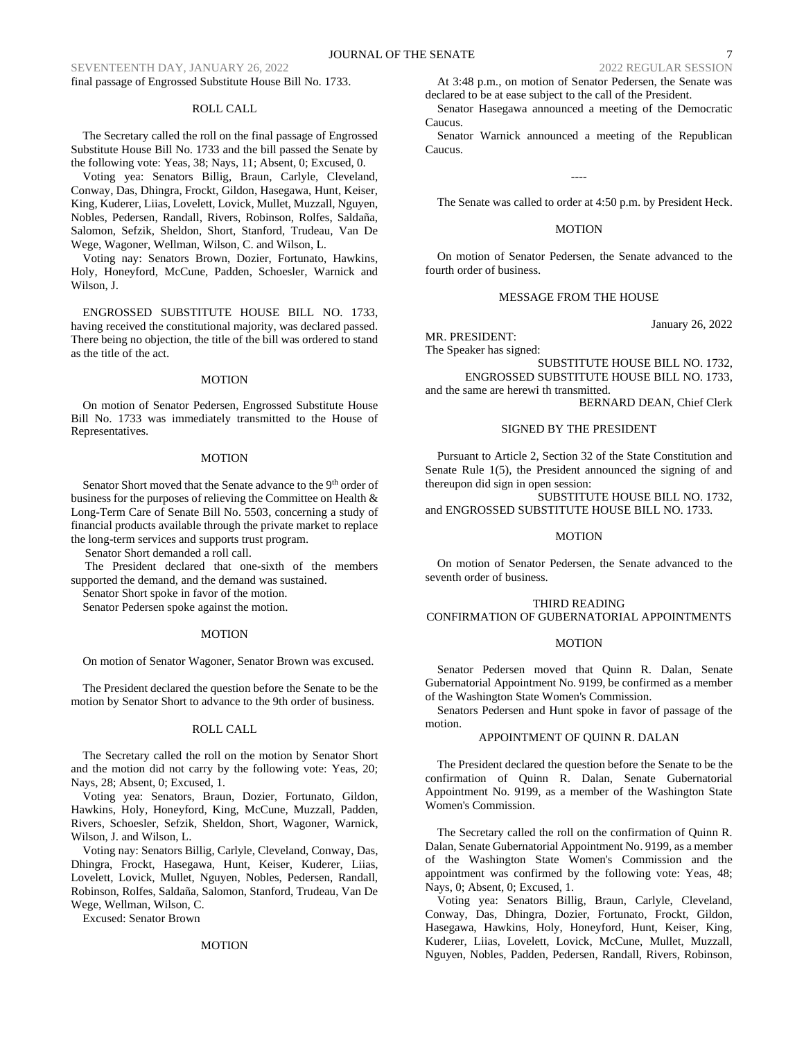final passage of Engrossed Substitute House Bill No. 1733.

# ROLL CALL

The Secretary called the roll on the final passage of Engrossed Substitute House Bill No. 1733 and the bill passed the Senate by the following vote: Yeas, 38; Nays, 11; Absent, 0; Excused, 0.

Voting yea: Senators Billig, Braun, Carlyle, Cleveland, Conway, Das, Dhingra, Frockt, Gildon, Hasegawa, Hunt, Keiser, King, Kuderer, Liias, Lovelett, Lovick, Mullet, Muzzall, Nguyen, Nobles, Pedersen, Randall, Rivers, Robinson, Rolfes, Saldaña, Salomon, Sefzik, Sheldon, Short, Stanford, Trudeau, Van De Wege, Wagoner, Wellman, Wilson, C. and Wilson, L.

Voting nay: Senators Brown, Dozier, Fortunato, Hawkins, Holy, Honeyford, McCune, Padden, Schoesler, Warnick and Wilson, J.

ENGROSSED SUBSTITUTE HOUSE BILL NO. 1733, having received the constitutional majority, was declared passed. There being no objection, the title of the bill was ordered to stand as the title of the act.

#### **MOTION**

On motion of Senator Pedersen, Engrossed Substitute House Bill No. 1733 was immediately transmitted to the House of Representatives.

#### MOTION

Senator Short moved that the Senate advance to the 9<sup>th</sup> order of business for the purposes of relieving the Committee on Health & Long-Term Care of Senate Bill No. 5503, concerning a study of financial products available through the private market to replace the long-term services and supports trust program.

Senator Short demanded a roll call.

The President declared that one-sixth of the members supported the demand, and the demand was sustained.

Senator Short spoke in favor of the motion.

Senator Pedersen spoke against the motion.

#### MOTION

On motion of Senator Wagoner, Senator Brown was excused.

The President declared the question before the Senate to be the motion by Senator Short to advance to the 9th order of business.

#### ROLL CALL

The Secretary called the roll on the motion by Senator Short and the motion did not carry by the following vote: Yeas, 20; Nays, 28; Absent, 0; Excused, 1.

Voting yea: Senators, Braun, Dozier, Fortunato, Gildon, Hawkins, Holy, Honeyford, King, McCune, Muzzall, Padden, Rivers, Schoesler, Sefzik, Sheldon, Short, Wagoner, Warnick, Wilson, J. and Wilson, L.

Voting nay: Senators Billig, Carlyle, Cleveland, Conway, Das, Dhingra, Frockt, Hasegawa, Hunt, Keiser, Kuderer, Liias, Lovelett, Lovick, Mullet, Nguyen, Nobles, Pedersen, Randall, Robinson, Rolfes, Saldaña, Salomon, Stanford, Trudeau, Van De Wege, Wellman, Wilson, C.

Excused: Senator Brown

#### **MOTION**

At 3:48 p.m., on motion of Senator Pedersen, the Senate was declared to be at ease subject to the call of the President.

Senator Hasegawa announced a meeting of the Democratic Caucus.

Senator Warnick announced a meeting of the Republican Caucus.

----

The Senate was called to order at 4:50 p.m. by President Heck.

### MOTION

On motion of Senator Pedersen, the Senate advanced to the fourth order of business.

# MESSAGE FROM THE HOUSE

January 26, 2022

MR. PRESIDENT:

The Speaker has signed:

SUBSTITUTE HOUSE BILL NO. 1732, ENGROSSED SUBSTITUTE HOUSE BILL NO. 1733, and the same are herewi th transmitted.

BERNARD DEAN, Chief Clerk

### SIGNED BY THE PRESIDENT

Pursuant to Article 2, Section 32 of the State Constitution and Senate Rule 1(5), the President announced the signing of and thereupon did sign in open session:

SUBSTITUTE HOUSE BILL NO. 1732, and ENGROSSED SUBSTITUTE HOUSE BILL NO. 1733.

#### MOTION

On motion of Senator Pedersen, the Senate advanced to the seventh order of business.

### THIRD READING

CONFIRMATION OF GUBERNATORIAL APPOINTMENTS

# MOTION

Senator Pedersen moved that Quinn R. Dalan, Senate Gubernatorial Appointment No. 9199, be confirmed as a member of the Washington State Women's Commission.

Senators Pedersen and Hunt spoke in favor of passage of the motion.

# APPOINTMENT OF QUINN R. DALAN

The President declared the question before the Senate to be the confirmation of Quinn R. Dalan, Senate Gubernatorial Appointment No. 9199, as a member of the Washington State Women's Commission.

The Secretary called the roll on the confirmation of Quinn R. Dalan, Senate Gubernatorial Appointment No. 9199, as a member of the Washington State Women's Commission and the appointment was confirmed by the following vote: Yeas, 48; Nays, 0; Absent, 0; Excused, 1.

Voting yea: Senators Billig, Braun, Carlyle, Cleveland, Conway, Das, Dhingra, Dozier, Fortunato, Frockt, Gildon, Hasegawa, Hawkins, Holy, Honeyford, Hunt, Keiser, King, Kuderer, Liias, Lovelett, Lovick, McCune, Mullet, Muzzall, Nguyen, Nobles, Padden, Pedersen, Randall, Rivers, Robinson,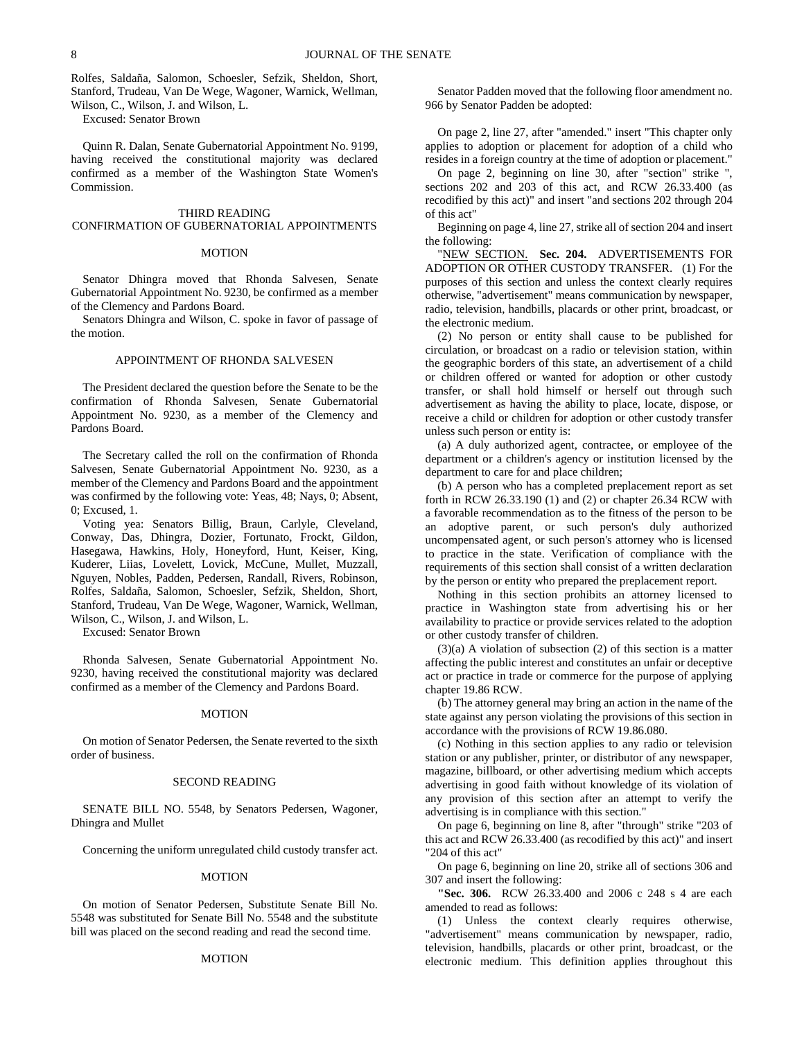Rolfes, Saldaña, Salomon, Schoesler, Sefzik, Sheldon, Short, Stanford, Trudeau, Van De Wege, Wagoner, Warnick, Wellman, Wilson, C., Wilson, J. and Wilson, L.

Excused: Senator Brown

Quinn R. Dalan, Senate Gubernatorial Appointment No. 9199, having received the constitutional majority was declared confirmed as a member of the Washington State Women's Commission.

# THIRD READING CONFIRMATION OF GUBERNATORIAL APPOINTMENTS

# MOTION

Senator Dhingra moved that Rhonda Salvesen, Senate Gubernatorial Appointment No. 9230, be confirmed as a member of the Clemency and Pardons Board.

Senators Dhingra and Wilson, C. spoke in favor of passage of the motion.

# APPOINTMENT OF RHONDA SALVESEN

The President declared the question before the Senate to be the confirmation of Rhonda Salvesen, Senate Gubernatorial Appointment No. 9230, as a member of the Clemency and Pardons Board.

The Secretary called the roll on the confirmation of Rhonda Salvesen, Senate Gubernatorial Appointment No. 9230, as a member of the Clemency and Pardons Board and the appointment was confirmed by the following vote: Yeas, 48; Nays, 0; Absent, 0; Excused, 1.

Voting yea: Senators Billig, Braun, Carlyle, Cleveland, Conway, Das, Dhingra, Dozier, Fortunato, Frockt, Gildon, Hasegawa, Hawkins, Holy, Honeyford, Hunt, Keiser, King, Kuderer, Liias, Lovelett, Lovick, McCune, Mullet, Muzzall, Nguyen, Nobles, Padden, Pedersen, Randall, Rivers, Robinson, Rolfes, Saldaña, Salomon, Schoesler, Sefzik, Sheldon, Short, Stanford, Trudeau, Van De Wege, Wagoner, Warnick, Wellman, Wilson, C., Wilson, J. and Wilson, L.

Excused: Senator Brown

Rhonda Salvesen, Senate Gubernatorial Appointment No. 9230, having received the constitutional majority was declared confirmed as a member of the Clemency and Pardons Board.

### **MOTION**

On motion of Senator Pedersen, the Senate reverted to the sixth order of business.

#### SECOND READING

SENATE BILL NO. 5548, by Senators Pedersen, Wagoner, Dhingra and Mullet

Concerning the uniform unregulated child custody transfer act.

#### MOTION

On motion of Senator Pedersen, Substitute Senate Bill No. 5548 was substituted for Senate Bill No. 5548 and the substitute bill was placed on the second reading and read the second time.

#### **MOTION**

Senator Padden moved that the following floor amendment no. 966 by Senator Padden be adopted:

On page 2, line 27, after "amended." insert "This chapter only applies to adoption or placement for adoption of a child who resides in a foreign country at the time of adoption or placement."

On page 2, beginning on line 30, after "section" strike ", sections 202 and 203 of this act, and RCW 26.33.400 (as recodified by this act)" and insert "and sections 202 through 204 of this act"

Beginning on page 4, line 27, strike all of section 204 and insert the following:

"NEW SECTION. **Sec. 204.** ADVERTISEMENTS FOR ADOPTION OR OTHER CUSTODY TRANSFER. (1) For the purposes of this section and unless the context clearly requires otherwise, "advertisement" means communication by newspaper, radio, television, handbills, placards or other print, broadcast, or the electronic medium.

(2) No person or entity shall cause to be published for circulation, or broadcast on a radio or television station, within the geographic borders of this state, an advertisement of a child or children offered or wanted for adoption or other custody transfer, or shall hold himself or herself out through such advertisement as having the ability to place, locate, dispose, or receive a child or children for adoption or other custody transfer unless such person or entity is:

(a) A duly authorized agent, contractee, or employee of the department or a children's agency or institution licensed by the department to care for and place children;

(b) A person who has a completed preplacement report as set forth in RCW 26.33.190 (1) and (2) or chapter 26.34 RCW with a favorable recommendation as to the fitness of the person to be an adoptive parent, or such person's duly authorized uncompensated agent, or such person's attorney who is licensed to practice in the state. Verification of compliance with the requirements of this section shall consist of a written declaration by the person or entity who prepared the preplacement report.

Nothing in this section prohibits an attorney licensed to practice in Washington state from advertising his or her availability to practice or provide services related to the adoption or other custody transfer of children.

(3)(a) A violation of subsection (2) of this section is a matter affecting the public interest and constitutes an unfair or deceptive act or practice in trade or commerce for the purpose of applying chapter 19.86 RCW.

(b) The attorney general may bring an action in the name of the state against any person violating the provisions of this section in accordance with the provisions of RCW 19.86.080.

(c) Nothing in this section applies to any radio or television station or any publisher, printer, or distributor of any newspaper, magazine, billboard, or other advertising medium which accepts advertising in good faith without knowledge of its violation of any provision of this section after an attempt to verify the advertising is in compliance with this section."

On page 6, beginning on line 8, after "through" strike "203 of this act and RCW 26.33.400 (as recodified by this act)" and insert "204 of this act"

On page 6, beginning on line 20, strike all of sections 306 and 307 and insert the following:

**"Sec. 306.** RCW 26.33.400 and 2006 c 248 s 4 are each amended to read as follows:

(1) Unless the context clearly requires otherwise, "advertisement" means communication by newspaper, radio, television, handbills, placards or other print, broadcast, or the electronic medium. This definition applies throughout this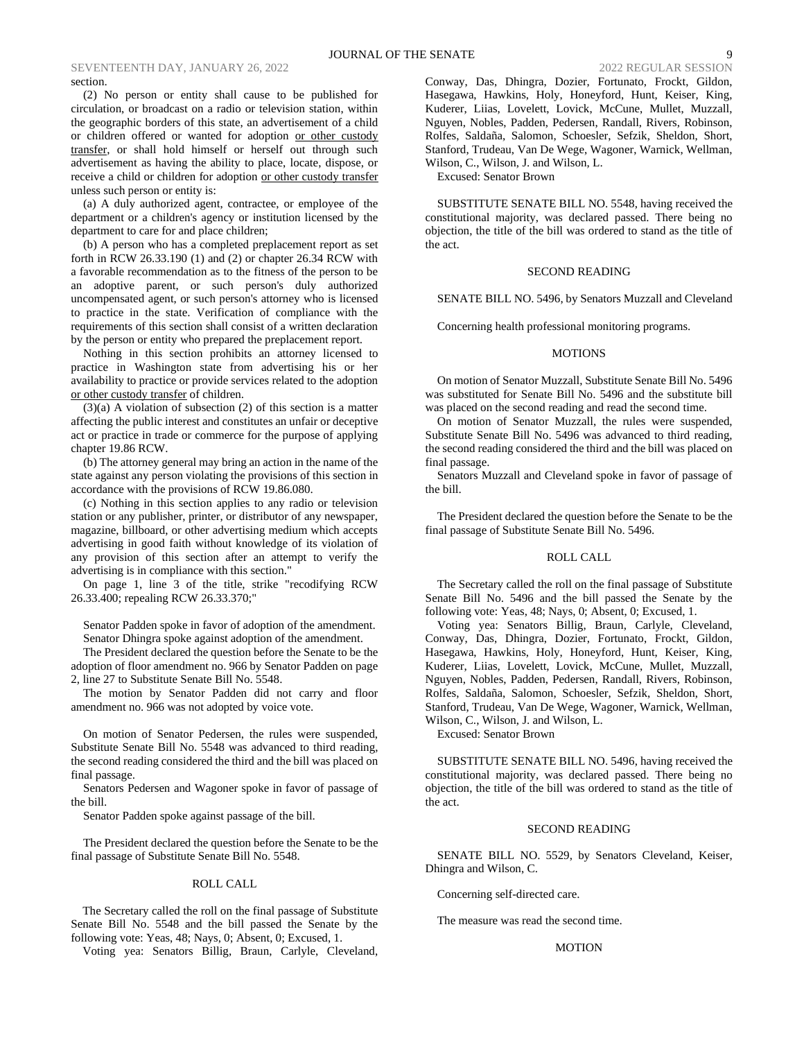(2) No person or entity shall cause to be published for circulation, or broadcast on a radio or television station, within the geographic borders of this state, an advertisement of a child or children offered or wanted for adoption or other custody transfer, or shall hold himself or herself out through such advertisement as having the ability to place, locate, dispose, or receive a child or children for adoption or other custody transfer unless such person or entity is:

(a) A duly authorized agent, contractee, or employee of the department or a children's agency or institution licensed by the department to care for and place children;

(b) A person who has a completed preplacement report as set forth in RCW 26.33.190 (1) and (2) or chapter 26.34 RCW with a favorable recommendation as to the fitness of the person to be an adoptive parent, or such person's duly authorized uncompensated agent, or such person's attorney who is licensed to practice in the state. Verification of compliance with the requirements of this section shall consist of a written declaration by the person or entity who prepared the preplacement report.

Nothing in this section prohibits an attorney licensed to practice in Washington state from advertising his or her availability to practice or provide services related to the adoption or other custody transfer of children.

(3)(a) A violation of subsection (2) of this section is a matter affecting the public interest and constitutes an unfair or deceptive act or practice in trade or commerce for the purpose of applying chapter 19.86 RCW.

(b) The attorney general may bring an action in the name of the state against any person violating the provisions of this section in accordance with the provisions of RCW 19.86.080.

(c) Nothing in this section applies to any radio or television station or any publisher, printer, or distributor of any newspaper, magazine, billboard, or other advertising medium which accepts advertising in good faith without knowledge of its violation of any provision of this section after an attempt to verify the advertising is in compliance with this section."

On page 1, line 3 of the title, strike "recodifying RCW 26.33.400; repealing RCW 26.33.370;"

Senator Padden spoke in favor of adoption of the amendment. Senator Dhingra spoke against adoption of the amendment.

The President declared the question before the Senate to be the adoption of floor amendment no. 966 by Senator Padden on page 2, line 27 to Substitute Senate Bill No. 5548.

The motion by Senator Padden did not carry and floor amendment no. 966 was not adopted by voice vote.

On motion of Senator Pedersen, the rules were suspended, Substitute Senate Bill No. 5548 was advanced to third reading, the second reading considered the third and the bill was placed on final passage.

Senators Pedersen and Wagoner spoke in favor of passage of the bill.

Senator Padden spoke against passage of the bill.

The President declared the question before the Senate to be the final passage of Substitute Senate Bill No. 5548.

#### ROLL CALL

The Secretary called the roll on the final passage of Substitute Senate Bill No. 5548 and the bill passed the Senate by the following vote: Yeas, 48; Nays, 0; Absent, 0; Excused, 1.

Voting yea: Senators Billig, Braun, Carlyle, Cleveland,

Conway, Das, Dhingra, Dozier, Fortunato, Frockt, Gildon, Hasegawa, Hawkins, Holy, Honeyford, Hunt, Keiser, King, Kuderer, Liias, Lovelett, Lovick, McCune, Mullet, Muzzall, Nguyen, Nobles, Padden, Pedersen, Randall, Rivers, Robinson, Rolfes, Saldaña, Salomon, Schoesler, Sefzik, Sheldon, Short, Stanford, Trudeau, Van De Wege, Wagoner, Warnick, Wellman, Wilson, C., Wilson, J. and Wilson, L.

Excused: Senator Brown

SUBSTITUTE SENATE BILL NO. 5548, having received the constitutional majority, was declared passed. There being no objection, the title of the bill was ordered to stand as the title of the act.

# SECOND READING

SENATE BILL NO. 5496, by Senators Muzzall and Cleveland

Concerning health professional monitoring programs.

# MOTIONS

On motion of Senator Muzzall, Substitute Senate Bill No. 5496 was substituted for Senate Bill No. 5496 and the substitute bill was placed on the second reading and read the second time.

On motion of Senator Muzzall, the rules were suspended, Substitute Senate Bill No. 5496 was advanced to third reading, the second reading considered the third and the bill was placed on final passage.

Senators Muzzall and Cleveland spoke in favor of passage of the bill.

The President declared the question before the Senate to be the final passage of Substitute Senate Bill No. 5496.

### ROLL CALL

The Secretary called the roll on the final passage of Substitute Senate Bill No. 5496 and the bill passed the Senate by the following vote: Yeas, 48; Nays, 0; Absent, 0; Excused, 1.

Voting yea: Senators Billig, Braun, Carlyle, Cleveland, Conway, Das, Dhingra, Dozier, Fortunato, Frockt, Gildon, Hasegawa, Hawkins, Holy, Honeyford, Hunt, Keiser, King, Kuderer, Liias, Lovelett, Lovick, McCune, Mullet, Muzzall, Nguyen, Nobles, Padden, Pedersen, Randall, Rivers, Robinson, Rolfes, Saldaña, Salomon, Schoesler, Sefzik, Sheldon, Short, Stanford, Trudeau, Van De Wege, Wagoner, Warnick, Wellman, Wilson, C., Wilson, J. and Wilson, L.

Excused: Senator Brown

SUBSTITUTE SENATE BILL NO. 5496, having received the constitutional majority, was declared passed. There being no objection, the title of the bill was ordered to stand as the title of the act.

#### SECOND READING

SENATE BILL NO. 5529, by Senators Cleveland, Keiser, Dhingra and Wilson, C.

Concerning self-directed care.

The measure was read the second time.

# MOTION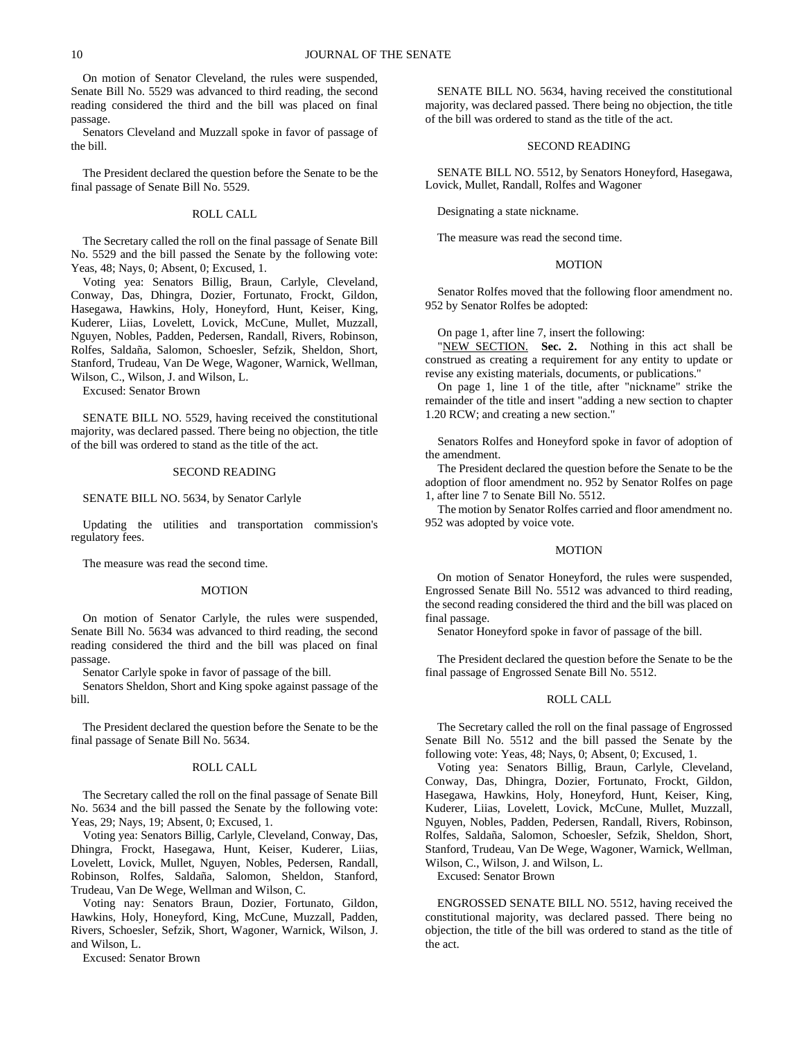On motion of Senator Cleveland, the rules were suspended, Senate Bill No. 5529 was advanced to third reading, the second reading considered the third and the bill was placed on final passage.

Senators Cleveland and Muzzall spoke in favor of passage of the bill.

The President declared the question before the Senate to be the final passage of Senate Bill No. 5529.

### ROLL CALL

The Secretary called the roll on the final passage of Senate Bill No. 5529 and the bill passed the Senate by the following vote: Yeas, 48; Nays, 0; Absent, 0; Excused, 1.

Voting yea: Senators Billig, Braun, Carlyle, Cleveland, Conway, Das, Dhingra, Dozier, Fortunato, Frockt, Gildon, Hasegawa, Hawkins, Holy, Honeyford, Hunt, Keiser, King, Kuderer, Liias, Lovelett, Lovick, McCune, Mullet, Muzzall, Nguyen, Nobles, Padden, Pedersen, Randall, Rivers, Robinson, Rolfes, Saldaña, Salomon, Schoesler, Sefzik, Sheldon, Short, Stanford, Trudeau, Van De Wege, Wagoner, Warnick, Wellman, Wilson, C., Wilson, J. and Wilson, L.

Excused: Senator Brown

SENATE BILL NO. 5529, having received the constitutional majority, was declared passed. There being no objection, the title of the bill was ordered to stand as the title of the act.

### SECOND READING

#### SENATE BILL NO. 5634, by Senator Carlyle

Updating the utilities and transportation commission's regulatory fees.

The measure was read the second time.

#### **MOTION**

On motion of Senator Carlyle, the rules were suspended, Senate Bill No. 5634 was advanced to third reading, the second reading considered the third and the bill was placed on final passage.

Senator Carlyle spoke in favor of passage of the bill.

Senators Sheldon, Short and King spoke against passage of the bill.

The President declared the question before the Senate to be the final passage of Senate Bill No. 5634.

#### ROLL CALL

The Secretary called the roll on the final passage of Senate Bill No. 5634 and the bill passed the Senate by the following vote: Yeas, 29; Nays, 19; Absent, 0; Excused, 1.

Voting yea: Senators Billig, Carlyle, Cleveland, Conway, Das, Dhingra, Frockt, Hasegawa, Hunt, Keiser, Kuderer, Liias, Lovelett, Lovick, Mullet, Nguyen, Nobles, Pedersen, Randall, Robinson, Rolfes, Saldaña, Salomon, Sheldon, Stanford, Trudeau, Van De Wege, Wellman and Wilson, C.

Voting nay: Senators Braun, Dozier, Fortunato, Gildon, Hawkins, Holy, Honeyford, King, McCune, Muzzall, Padden, Rivers, Schoesler, Sefzik, Short, Wagoner, Warnick, Wilson, J. and Wilson, L.

Excused: Senator Brown

SENATE BILL NO. 5634, having received the constitutional majority, was declared passed. There being no objection, the title of the bill was ordered to stand as the title of the act.

# SECOND READING

SENATE BILL NO. 5512, by Senators Honeyford, Hasegawa, Lovick, Mullet, Randall, Rolfes and Wagoner

Designating a state nickname.

The measure was read the second time.

### **MOTION**

Senator Rolfes moved that the following floor amendment no. 952 by Senator Rolfes be adopted:

On page 1, after line 7, insert the following:

"NEW SECTION. **Sec. 2.** Nothing in this act shall be construed as creating a requirement for any entity to update or revise any existing materials, documents, or publications."

On page 1, line 1 of the title, after "nickname" strike the remainder of the title and insert "adding a new section to chapter 1.20 RCW; and creating a new section."

Senators Rolfes and Honeyford spoke in favor of adoption of the amendment.

The President declared the question before the Senate to be the adoption of floor amendment no. 952 by Senator Rolfes on page 1, after line 7 to Senate Bill No. 5512.

The motion by Senator Rolfes carried and floor amendment no. 952 was adopted by voice vote.

#### MOTION

On motion of Senator Honeyford, the rules were suspended, Engrossed Senate Bill No. 5512 was advanced to third reading, the second reading considered the third and the bill was placed on final passage.

Senator Honeyford spoke in favor of passage of the bill.

The President declared the question before the Senate to be the final passage of Engrossed Senate Bill No. 5512.

### ROLL CALL

The Secretary called the roll on the final passage of Engrossed Senate Bill No. 5512 and the bill passed the Senate by the following vote: Yeas, 48; Nays, 0; Absent, 0; Excused, 1.

Voting yea: Senators Billig, Braun, Carlyle, Cleveland, Conway, Das, Dhingra, Dozier, Fortunato, Frockt, Gildon, Hasegawa, Hawkins, Holy, Honeyford, Hunt, Keiser, King, Kuderer, Liias, Lovelett, Lovick, McCune, Mullet, Muzzall, Nguyen, Nobles, Padden, Pedersen, Randall, Rivers, Robinson, Rolfes, Saldaña, Salomon, Schoesler, Sefzik, Sheldon, Short, Stanford, Trudeau, Van De Wege, Wagoner, Warnick, Wellman, Wilson, C., Wilson, J. and Wilson, L.

Excused: Senator Brown

ENGROSSED SENATE BILL NO. 5512, having received the constitutional majority, was declared passed. There being no objection, the title of the bill was ordered to stand as the title of the act.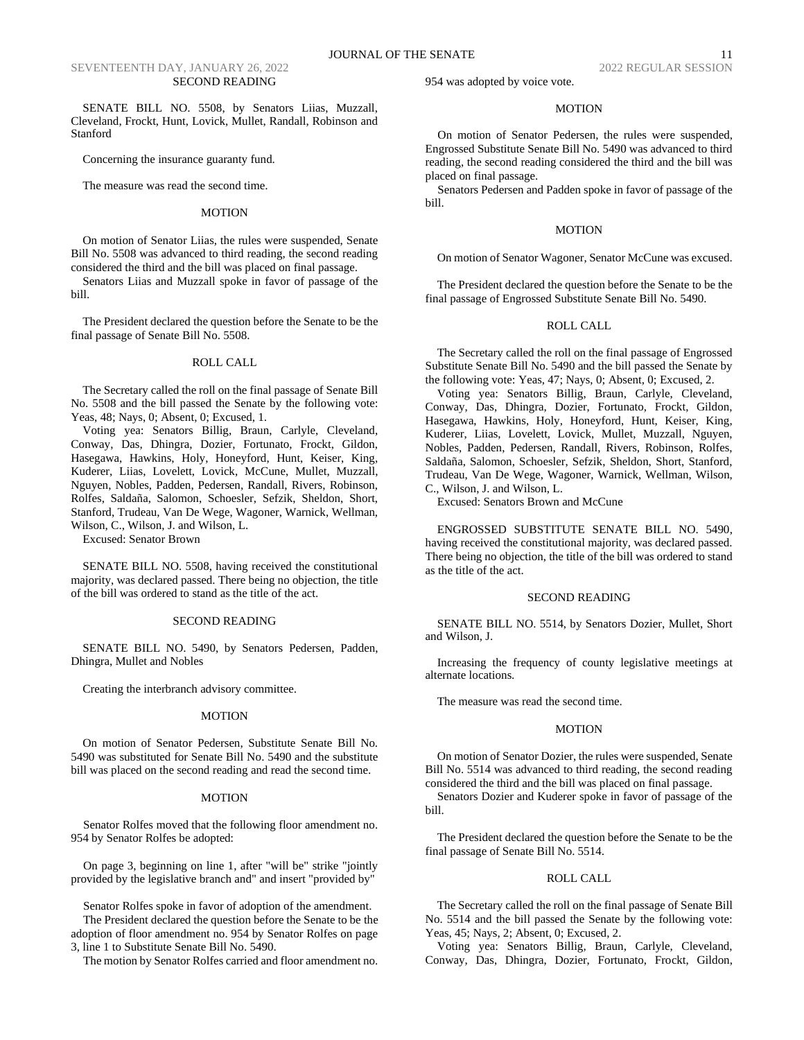SENATE BILL NO. 5508, by Senators Liias, Muzzall, Cleveland, Frockt, Hunt, Lovick, Mullet, Randall, Robinson and Stanford

Concerning the insurance guaranty fund.

The measure was read the second time.

# MOTION

On motion of Senator Liias, the rules were suspended, Senate Bill No. 5508 was advanced to third reading, the second reading considered the third and the bill was placed on final passage.

Senators Liias and Muzzall spoke in favor of passage of the bill.

The President declared the question before the Senate to be the final passage of Senate Bill No. 5508.

# ROLL CALL

The Secretary called the roll on the final passage of Senate Bill No. 5508 and the bill passed the Senate by the following vote: Yeas, 48; Nays, 0; Absent, 0; Excused, 1.

Voting yea: Senators Billig, Braun, Carlyle, Cleveland, Conway, Das, Dhingra, Dozier, Fortunato, Frockt, Gildon, Hasegawa, Hawkins, Holy, Honeyford, Hunt, Keiser, King, Kuderer, Liias, Lovelett, Lovick, McCune, Mullet, Muzzall, Nguyen, Nobles, Padden, Pedersen, Randall, Rivers, Robinson, Rolfes, Saldaña, Salomon, Schoesler, Sefzik, Sheldon, Short, Stanford, Trudeau, Van De Wege, Wagoner, Warnick, Wellman, Wilson, C., Wilson, J. and Wilson, L.

Excused: Senator Brown

SENATE BILL NO. 5508, having received the constitutional majority, was declared passed. There being no objection, the title of the bill was ordered to stand as the title of the act.

# SECOND READING

SENATE BILL NO. 5490, by Senators Pedersen, Padden, Dhingra, Mullet and Nobles

Creating the interbranch advisory committee.

# MOTION

On motion of Senator Pedersen, Substitute Senate Bill No. 5490 was substituted for Senate Bill No. 5490 and the substitute bill was placed on the second reading and read the second time.

# MOTION

Senator Rolfes moved that the following floor amendment no. 954 by Senator Rolfes be adopted:

On page 3, beginning on line 1, after "will be" strike "jointly provided by the legislative branch and" and insert "provided by"

Senator Rolfes spoke in favor of adoption of the amendment. The President declared the question before the Senate to be the adoption of floor amendment no. 954 by Senator Rolfes on page 3, line 1 to Substitute Senate Bill No. 5490.

The motion by Senator Rolfes carried and floor amendment no.

954 was adopted by voice vote.

# MOTION

On motion of Senator Pedersen, the rules were suspended, Engrossed Substitute Senate Bill No. 5490 was advanced to third reading, the second reading considered the third and the bill was placed on final passage.

Senators Pedersen and Padden spoke in favor of passage of the bill.

# MOTION

On motion of Senator Wagoner, Senator McCune was excused.

The President declared the question before the Senate to be the final passage of Engrossed Substitute Senate Bill No. 5490.

### ROLL CALL

The Secretary called the roll on the final passage of Engrossed Substitute Senate Bill No. 5490 and the bill passed the Senate by the following vote: Yeas, 47; Nays, 0; Absent, 0; Excused, 2.

Voting yea: Senators Billig, Braun, Carlyle, Cleveland, Conway, Das, Dhingra, Dozier, Fortunato, Frockt, Gildon, Hasegawa, Hawkins, Holy, Honeyford, Hunt, Keiser, King, Kuderer, Liias, Lovelett, Lovick, Mullet, Muzzall, Nguyen, Nobles, Padden, Pedersen, Randall, Rivers, Robinson, Rolfes, Saldaña, Salomon, Schoesler, Sefzik, Sheldon, Short, Stanford, Trudeau, Van De Wege, Wagoner, Warnick, Wellman, Wilson, C., Wilson, J. and Wilson, L.

Excused: Senators Brown and McCune

ENGROSSED SUBSTITUTE SENATE BILL NO. 5490, having received the constitutional majority, was declared passed. There being no objection, the title of the bill was ordered to stand as the title of the act.

### SECOND READING

SENATE BILL NO. 5514, by Senators Dozier, Mullet, Short and Wilson, J.

Increasing the frequency of county legislative meetings at alternate locations.

The measure was read the second time.

# MOTION

On motion of Senator Dozier, the rules were suspended, Senate Bill No. 5514 was advanced to third reading, the second reading considered the third and the bill was placed on final passage.

Senators Dozier and Kuderer spoke in favor of passage of the bill.

The President declared the question before the Senate to be the final passage of Senate Bill No. 5514.

# ROLL CALL

The Secretary called the roll on the final passage of Senate Bill No. 5514 and the bill passed the Senate by the following vote: Yeas, 45; Nays, 2; Absent, 0; Excused, 2.

Voting yea: Senators Billig, Braun, Carlyle, Cleveland, Conway, Das, Dhingra, Dozier, Fortunato, Frockt, Gildon,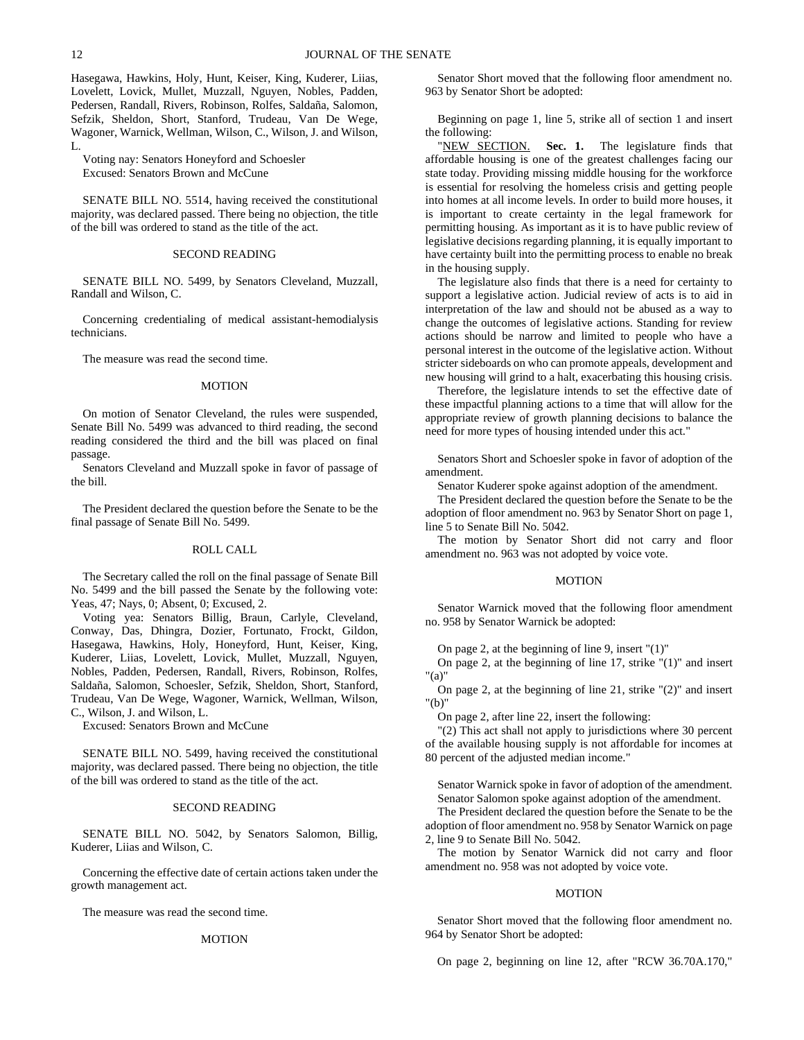Hasegawa, Hawkins, Holy, Hunt, Keiser, King, Kuderer, Liias, Lovelett, Lovick, Mullet, Muzzall, Nguyen, Nobles, Padden, Pedersen, Randall, Rivers, Robinson, Rolfes, Saldaña, Salomon, Sefzik, Sheldon, Short, Stanford, Trudeau, Van De Wege, Wagoner, Warnick, Wellman, Wilson, C., Wilson, J. and Wilson, L.

Voting nay: Senators Honeyford and Schoesler Excused: Senators Brown and McCune

SENATE BILL NO. 5514, having received the constitutional majority, was declared passed. There being no objection, the title of the bill was ordered to stand as the title of the act.

### SECOND READING

SENATE BILL NO. 5499, by Senators Cleveland, Muzzall, Randall and Wilson, C.

Concerning credentialing of medical assistant-hemodialysis technicians.

The measure was read the second time.

### MOTION

On motion of Senator Cleveland, the rules were suspended, Senate Bill No. 5499 was advanced to third reading, the second reading considered the third and the bill was placed on final passage.

Senators Cleveland and Muzzall spoke in favor of passage of the bill.

The President declared the question before the Senate to be the final passage of Senate Bill No. 5499.

# ROLL CALL

The Secretary called the roll on the final passage of Senate Bill No. 5499 and the bill passed the Senate by the following vote: Yeas, 47; Nays, 0; Absent, 0; Excused, 2.

Voting yea: Senators Billig, Braun, Carlyle, Cleveland, Conway, Das, Dhingra, Dozier, Fortunato, Frockt, Gildon, Hasegawa, Hawkins, Holy, Honeyford, Hunt, Keiser, King, Kuderer, Liias, Lovelett, Lovick, Mullet, Muzzall, Nguyen, Nobles, Padden, Pedersen, Randall, Rivers, Robinson, Rolfes, Saldaña, Salomon, Schoesler, Sefzik, Sheldon, Short, Stanford, Trudeau, Van De Wege, Wagoner, Warnick, Wellman, Wilson, C., Wilson, J. and Wilson, L.

Excused: Senators Brown and McCune

SENATE BILL NO. 5499, having received the constitutional majority, was declared passed. There being no objection, the title of the bill was ordered to stand as the title of the act.

# SECOND READING

SENATE BILL NO. 5042, by Senators Salomon, Billig, Kuderer, Liias and Wilson, C.

Concerning the effective date of certain actions taken under the growth management act.

The measure was read the second time.

### MOTION

Senator Short moved that the following floor amendment no. 963 by Senator Short be adopted:

Beginning on page 1, line 5, strike all of section 1 and insert the following:

"NEW SECTION. **Sec. 1.** The legislature finds that affordable housing is one of the greatest challenges facing our state today. Providing missing middle housing for the workforce is essential for resolving the homeless crisis and getting people into homes at all income levels. In order to build more houses, it is important to create certainty in the legal framework for permitting housing. As important as it is to have public review of legislative decisions regarding planning, it is equally important to have certainty built into the permitting process to enable no break in the housing supply.

The legislature also finds that there is a need for certainty to support a legislative action. Judicial review of acts is to aid in interpretation of the law and should not be abused as a way to change the outcomes of legislative actions. Standing for review actions should be narrow and limited to people who have a personal interest in the outcome of the legislative action. Without stricter sideboards on who can promote appeals, development and new housing will grind to a halt, exacerbating this housing crisis.

Therefore, the legislature intends to set the effective date of these impactful planning actions to a time that will allow for the appropriate review of growth planning decisions to balance the need for more types of housing intended under this act."

Senators Short and Schoesler spoke in favor of adoption of the amendment.

Senator Kuderer spoke against adoption of the amendment.

The President declared the question before the Senate to be the adoption of floor amendment no. 963 by Senator Short on page 1, line 5 to Senate Bill No. 5042.

The motion by Senator Short did not carry and floor amendment no. 963 was not adopted by voice vote.

#### MOTION

Senator Warnick moved that the following floor amendment no. 958 by Senator Warnick be adopted:

On page 2, at the beginning of line 9, insert  $!(1)$ "

On page 2, at the beginning of line 17, strike "(1)" and insert "(a)"

On page 2, at the beginning of line 21, strike "(2)" and insert "(b)"

On page 2, after line 22, insert the following:

"(2) This act shall not apply to jurisdictions where 30 percent of the available housing supply is not affordable for incomes at 80 percent of the adjusted median income."

Senator Warnick spoke in favor of adoption of the amendment. Senator Salomon spoke against adoption of the amendment.

The President declared the question before the Senate to be the adoption of floor amendment no. 958 by Senator Warnick on page 2, line 9 to Senate Bill No. 5042.

The motion by Senator Warnick did not carry and floor amendment no. 958 was not adopted by voice vote.

#### MOTION

Senator Short moved that the following floor amendment no. 964 by Senator Short be adopted:

On page 2, beginning on line 12, after "RCW 36.70A.170,"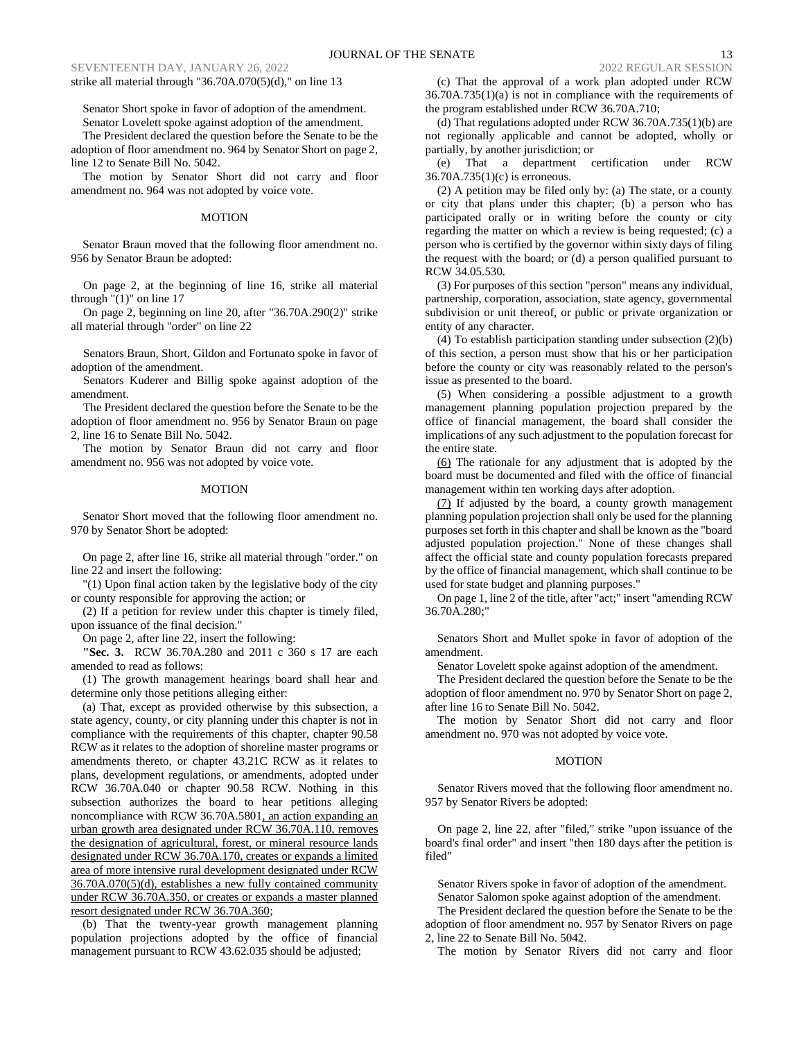strike all material through "36.70A.070(5)(d)," on line 13

Senator Short spoke in favor of adoption of the amendment.

Senator Lovelett spoke against adoption of the amendment. The President declared the question before the Senate to be the adoption of floor amendment no. 964 by Senator Short on page 2, line 12 to Senate Bill No. 5042.

The motion by Senator Short did not carry and floor amendment no. 964 was not adopted by voice vote.

### MOTION

Senator Braun moved that the following floor amendment no. 956 by Senator Braun be adopted:

On page 2, at the beginning of line 16, strike all material through "(1)" on line 17

On page 2, beginning on line 20, after "36.70A.290(2)" strike all material through "order" on line 22

Senators Braun, Short, Gildon and Fortunato spoke in favor of adoption of the amendment.

Senators Kuderer and Billig spoke against adoption of the amendment.

The President declared the question before the Senate to be the adoption of floor amendment no. 956 by Senator Braun on page 2, line 16 to Senate Bill No. 5042.

The motion by Senator Braun did not carry and floor amendment no. 956 was not adopted by voice vote.

# MOTION

Senator Short moved that the following floor amendment no. 970 by Senator Short be adopted:

On page 2, after line 16, strike all material through "order." on line 22 and insert the following:

"(1) Upon final action taken by the legislative body of the city or county responsible for approving the action; or

(2) If a petition for review under this chapter is timely filed, upon issuance of the final decision."

On page 2, after line 22, insert the following:

**"Sec. 3.** RCW 36.70A.280 and 2011 c 360 s 17 are each amended to read as follows:

(1) The growth management hearings board shall hear and determine only those petitions alleging either:

(a) That, except as provided otherwise by this subsection, a state agency, county, or city planning under this chapter is not in compliance with the requirements of this chapter, chapter 90.58 RCW as it relates to the adoption of shoreline master programs or amendments thereto, or chapter 43.21C RCW as it relates to plans, development regulations, or amendments, adopted under RCW 36.70A.040 or chapter 90.58 RCW. Nothing in this subsection authorizes the board to hear petitions alleging noncompliance with RCW 36.70A.5801, an action expanding an urban growth area designated under RCW 36.70A.110, removes the designation of agricultural, forest, or mineral resource lands designated under RCW 36.70A.170, creates or expands a limited area of more intensive rural development designated under RCW 36.70A.070(5)(d), establishes a new fully contained community under RCW 36.70A.350, or creates or expands a master planned resort designated under RCW 36.70A.360;

(b) That the twenty-year growth management planning population projections adopted by the office of financial management pursuant to RCW 43.62.035 should be adjusted;

(c) That the approval of a work plan adopted under RCW 36.70A.735(1)(a) is not in compliance with the requirements of the program established under RCW 36.70A.710;

(d) That regulations adopted under RCW 36.70A.735(1)(b) are not regionally applicable and cannot be adopted, wholly or partially, by another jurisdiction; or

(e) That a department certification under RCW 36.70A.735(1)(c) is erroneous.

(2) A petition may be filed only by: (a) The state, or a county or city that plans under this chapter; (b) a person who has participated orally or in writing before the county or city regarding the matter on which a review is being requested; (c) a person who is certified by the governor within sixty days of filing the request with the board; or (d) a person qualified pursuant to RCW 34.05.530.

(3) For purposes of this section "person" means any individual, partnership, corporation, association, state agency, governmental subdivision or unit thereof, or public or private organization or entity of any character.

(4) To establish participation standing under subsection (2)(b) of this section, a person must show that his or her participation before the county or city was reasonably related to the person's issue as presented to the board.

(5) When considering a possible adjustment to a growth management planning population projection prepared by the office of financial management, the board shall consider the implications of any such adjustment to the population forecast for the entire state.

(6) The rationale for any adjustment that is adopted by the board must be documented and filed with the office of financial management within ten working days after adoption.

(7) If adjusted by the board, a county growth management planning population projection shall only be used for the planning purposes set forth in this chapter and shall be known as the "board adjusted population projection." None of these changes shall affect the official state and county population forecasts prepared by the office of financial management, which shall continue to be used for state budget and planning purposes."

On page 1, line 2 of the title, after "act;" insert "amending RCW 36.70A.280;"

Senators Short and Mullet spoke in favor of adoption of the amendment.

Senator Lovelett spoke against adoption of the amendment.

The President declared the question before the Senate to be the adoption of floor amendment no. 970 by Senator Short on page 2, after line 16 to Senate Bill No. 5042.

The motion by Senator Short did not carry and floor amendment no. 970 was not adopted by voice vote.

#### MOTION

Senator Rivers moved that the following floor amendment no. 957 by Senator Rivers be adopted:

On page 2, line 22, after "filed," strike "upon issuance of the board's final order" and insert "then 180 days after the petition is filed"

Senator Rivers spoke in favor of adoption of the amendment. Senator Salomon spoke against adoption of the amendment.

The President declared the question before the Senate to be the adoption of floor amendment no. 957 by Senator Rivers on page 2, line 22 to Senate Bill No. 5042.

The motion by Senator Rivers did not carry and floor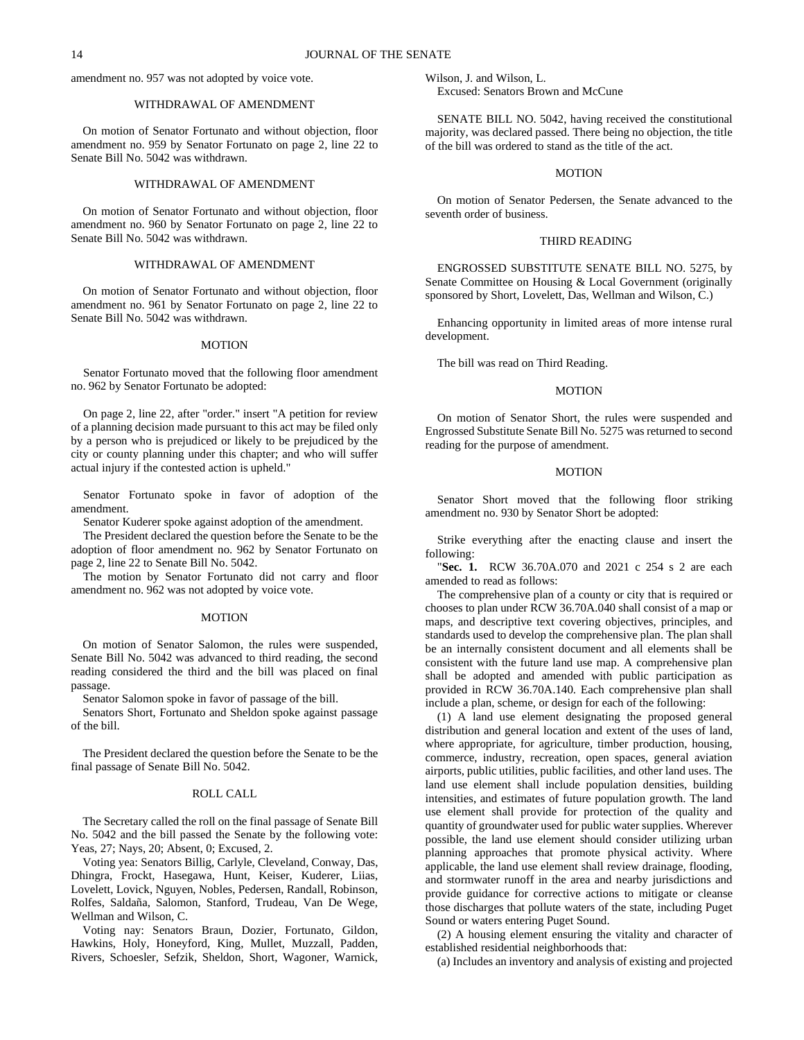amendment no. 957 was not adopted by voice vote.

#### WITHDRAWAL OF AMENDMENT

On motion of Senator Fortunato and without objection, floor amendment no. 959 by Senator Fortunato on page 2, line 22 to Senate Bill No. 5042 was withdrawn.

#### WITHDRAWAL OF AMENDMENT

On motion of Senator Fortunato and without objection, floor amendment no. 960 by Senator Fortunato on page 2, line 22 to Senate Bill No. 5042 was withdrawn.

### WITHDRAWAL OF AMENDMENT

On motion of Senator Fortunato and without objection, floor amendment no. 961 by Senator Fortunato on page 2, line 22 to Senate Bill No. 5042 was withdrawn.

### **MOTION**

Senator Fortunato moved that the following floor amendment no. 962 by Senator Fortunato be adopted:

On page 2, line 22, after "order." insert "A petition for review of a planning decision made pursuant to this act may be filed only by a person who is prejudiced or likely to be prejudiced by the city or county planning under this chapter; and who will suffer actual injury if the contested action is upheld."

Senator Fortunato spoke in favor of adoption of the amendment.

Senator Kuderer spoke against adoption of the amendment.

The President declared the question before the Senate to be the adoption of floor amendment no. 962 by Senator Fortunato on page 2, line 22 to Senate Bill No. 5042.

The motion by Senator Fortunato did not carry and floor amendment no. 962 was not adopted by voice vote.

#### MOTION

On motion of Senator Salomon, the rules were suspended, Senate Bill No. 5042 was advanced to third reading, the second reading considered the third and the bill was placed on final passage.

Senator Salomon spoke in favor of passage of the bill.

Senators Short, Fortunato and Sheldon spoke against passage of the bill.

The President declared the question before the Senate to be the final passage of Senate Bill No. 5042.

# ROLL CALL

The Secretary called the roll on the final passage of Senate Bill No. 5042 and the bill passed the Senate by the following vote: Yeas, 27; Nays, 20; Absent, 0; Excused, 2.

Voting yea: Senators Billig, Carlyle, Cleveland, Conway, Das, Dhingra, Frockt, Hasegawa, Hunt, Keiser, Kuderer, Liias, Lovelett, Lovick, Nguyen, Nobles, Pedersen, Randall, Robinson, Rolfes, Saldaña, Salomon, Stanford, Trudeau, Van De Wege, Wellman and Wilson, C.

Voting nay: Senators Braun, Dozier, Fortunato, Gildon, Hawkins, Holy, Honeyford, King, Mullet, Muzzall, Padden, Rivers, Schoesler, Sefzik, Sheldon, Short, Wagoner, Warnick,

Wilson, J. and Wilson, L. Excused: Senators Brown and McCune

SENATE BILL NO. 5042, having received the constitutional majority, was declared passed. There being no objection, the title of the bill was ordered to stand as the title of the act.

# MOTION

On motion of Senator Pedersen, the Senate advanced to the seventh order of business.

### THIRD READING

ENGROSSED SUBSTITUTE SENATE BILL NO. 5275, by Senate Committee on Housing & Local Government (originally sponsored by Short, Lovelett, Das, Wellman and Wilson, C.)

Enhancing opportunity in limited areas of more intense rural development.

The bill was read on Third Reading.

### MOTION

On motion of Senator Short, the rules were suspended and Engrossed Substitute Senate Bill No. 5275 was returned to second reading for the purpose of amendment.

# MOTION

Senator Short moved that the following floor striking amendment no. 930 by Senator Short be adopted:

Strike everything after the enacting clause and insert the following:

"**Sec. 1.** RCW 36.70A.070 and 2021 c 254 s 2 are each amended to read as follows:

The comprehensive plan of a county or city that is required or chooses to plan under RCW 36.70A.040 shall consist of a map or maps, and descriptive text covering objectives, principles, and standards used to develop the comprehensive plan. The plan shall be an internally consistent document and all elements shall be consistent with the future land use map. A comprehensive plan shall be adopted and amended with public participation as provided in RCW 36.70A.140. Each comprehensive plan shall include a plan, scheme, or design for each of the following:

(1) A land use element designating the proposed general distribution and general location and extent of the uses of land, where appropriate, for agriculture, timber production, housing, commerce, industry, recreation, open spaces, general aviation airports, public utilities, public facilities, and other land uses. The land use element shall include population densities, building intensities, and estimates of future population growth. The land use element shall provide for protection of the quality and quantity of groundwater used for public water supplies. Wherever possible, the land use element should consider utilizing urban planning approaches that promote physical activity. Where applicable, the land use element shall review drainage, flooding, and stormwater runoff in the area and nearby jurisdictions and provide guidance for corrective actions to mitigate or cleanse those discharges that pollute waters of the state, including Puget Sound or waters entering Puget Sound.

(2) A housing element ensuring the vitality and character of established residential neighborhoods that:

(a) Includes an inventory and analysis of existing and projected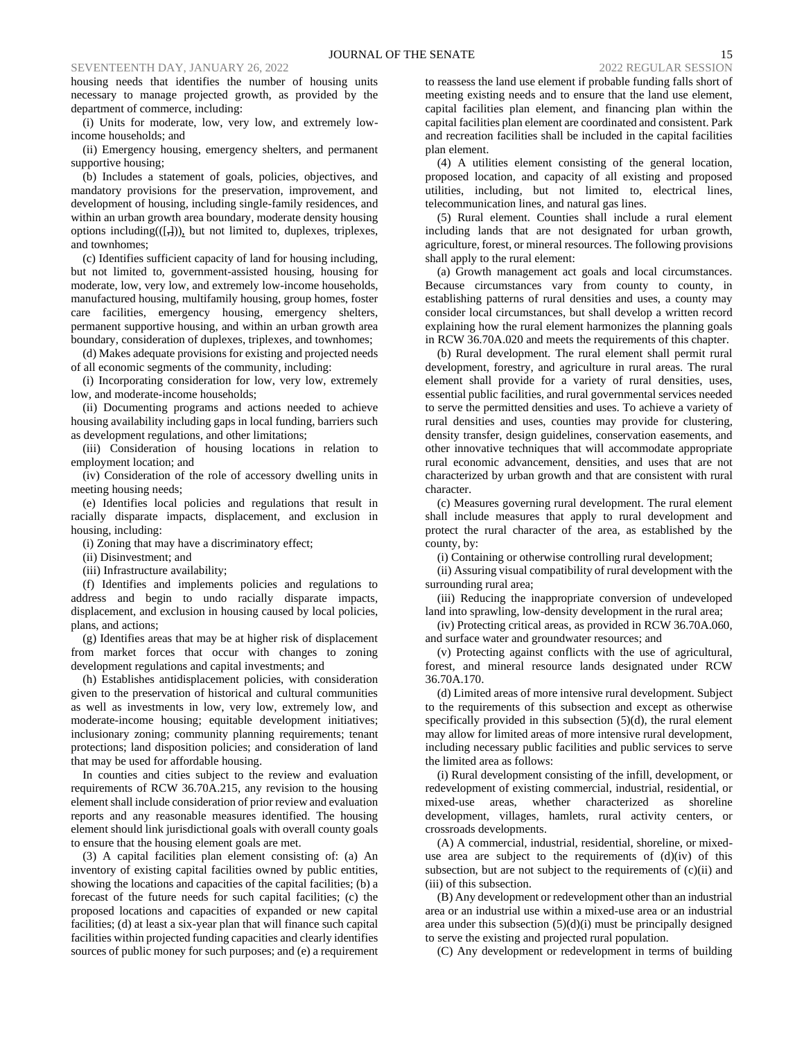housing needs that identifies the number of housing units necessary to manage projected growth, as provided by the department of commerce, including:

(i) Units for moderate, low, very low, and extremely lowincome households; and

(ii) Emergency housing, emergency shelters, and permanent supportive housing;

(b) Includes a statement of goals, policies, objectives, and mandatory provisions for the preservation, improvement, and development of housing, including single-family residences, and within an urban growth area boundary, moderate density housing options including( $([\frac{1}{2}])$ , but not limited to, duplexes, triplexes, and townhomes;

(c) Identifies sufficient capacity of land for housing including, but not limited to, government-assisted housing, housing for moderate, low, very low, and extremely low-income households, manufactured housing, multifamily housing, group homes, foster care facilities, emergency housing, emergency shelters, permanent supportive housing, and within an urban growth area boundary, consideration of duplexes, triplexes, and townhomes;

(d) Makes adequate provisions for existing and projected needs of all economic segments of the community, including:

(i) Incorporating consideration for low, very low, extremely low, and moderate-income households;

(ii) Documenting programs and actions needed to achieve housing availability including gaps in local funding, barriers such as development regulations, and other limitations;

(iii) Consideration of housing locations in relation to employment location; and

(iv) Consideration of the role of accessory dwelling units in meeting housing needs;

(e) Identifies local policies and regulations that result in racially disparate impacts, displacement, and exclusion in housing, including:

(i) Zoning that may have a discriminatory effect;

(ii) Disinvestment; and

(iii) Infrastructure availability;

(f) Identifies and implements policies and regulations to address and begin to undo racially disparate impacts, displacement, and exclusion in housing caused by local policies, plans, and actions;

(g) Identifies areas that may be at higher risk of displacement from market forces that occur with changes to zoning development regulations and capital investments; and

(h) Establishes antidisplacement policies, with consideration given to the preservation of historical and cultural communities as well as investments in low, very low, extremely low, and moderate-income housing; equitable development initiatives; inclusionary zoning; community planning requirements; tenant protections; land disposition policies; and consideration of land that may be used for affordable housing.

In counties and cities subject to the review and evaluation requirements of RCW 36.70A.215, any revision to the housing element shall include consideration of prior review and evaluation reports and any reasonable measures identified. The housing element should link jurisdictional goals with overall county goals to ensure that the housing element goals are met.

(3) A capital facilities plan element consisting of: (a) An inventory of existing capital facilities owned by public entities, showing the locations and capacities of the capital facilities; (b) a forecast of the future needs for such capital facilities; (c) the proposed locations and capacities of expanded or new capital facilities; (d) at least a six-year plan that will finance such capital facilities within projected funding capacities and clearly identifies sources of public money for such purposes; and (e) a requirement to reassess the land use element if probable funding falls short of meeting existing needs and to ensure that the land use element, capital facilities plan element, and financing plan within the capital facilities plan element are coordinated and consistent. Park and recreation facilities shall be included in the capital facilities plan element.

(4) A utilities element consisting of the general location, proposed location, and capacity of all existing and proposed utilities, including, but not limited to, electrical lines, telecommunication lines, and natural gas lines.

(5) Rural element. Counties shall include a rural element including lands that are not designated for urban growth, agriculture, forest, or mineral resources. The following provisions shall apply to the rural element:

(a) Growth management act goals and local circumstances. Because circumstances vary from county to county, in establishing patterns of rural densities and uses, a county may consider local circumstances, but shall develop a written record explaining how the rural element harmonizes the planning goals in RCW 36.70A.020 and meets the requirements of this chapter.

(b) Rural development. The rural element shall permit rural development, forestry, and agriculture in rural areas. The rural element shall provide for a variety of rural densities, uses, essential public facilities, and rural governmental services needed to serve the permitted densities and uses. To achieve a variety of rural densities and uses, counties may provide for clustering, density transfer, design guidelines, conservation easements, and other innovative techniques that will accommodate appropriate rural economic advancement, densities, and uses that are not characterized by urban growth and that are consistent with rural character.

(c) Measures governing rural development. The rural element shall include measures that apply to rural development and protect the rural character of the area, as established by the county, by:

(i) Containing or otherwise controlling rural development;

(ii) Assuring visual compatibility of rural development with the surrounding rural area;

(iii) Reducing the inappropriate conversion of undeveloped land into sprawling, low-density development in the rural area;

(iv) Protecting critical areas, as provided in RCW 36.70A.060, and surface water and groundwater resources; and

(v) Protecting against conflicts with the use of agricultural, forest, and mineral resource lands designated under RCW 36.70A.170.

(d) Limited areas of more intensive rural development. Subject to the requirements of this subsection and except as otherwise specifically provided in this subsection (5)(d), the rural element may allow for limited areas of more intensive rural development, including necessary public facilities and public services to serve the limited area as follows:

(i) Rural development consisting of the infill, development, or redevelopment of existing commercial, industrial, residential, or mixed-use areas, whether characterized as shoreline development, villages, hamlets, rural activity centers, or crossroads developments.

(A) A commercial, industrial, residential, shoreline, or mixeduse area are subject to the requirements of  $(d)(iv)$  of this subsection, but are not subject to the requirements of  $(c)(ii)$  and (iii) of this subsection.

(B) Any development or redevelopment other than an industrial area or an industrial use within a mixed-use area or an industrial area under this subsection  $(5)(d)(i)$  must be principally designed to serve the existing and projected rural population.

(C) Any development or redevelopment in terms of building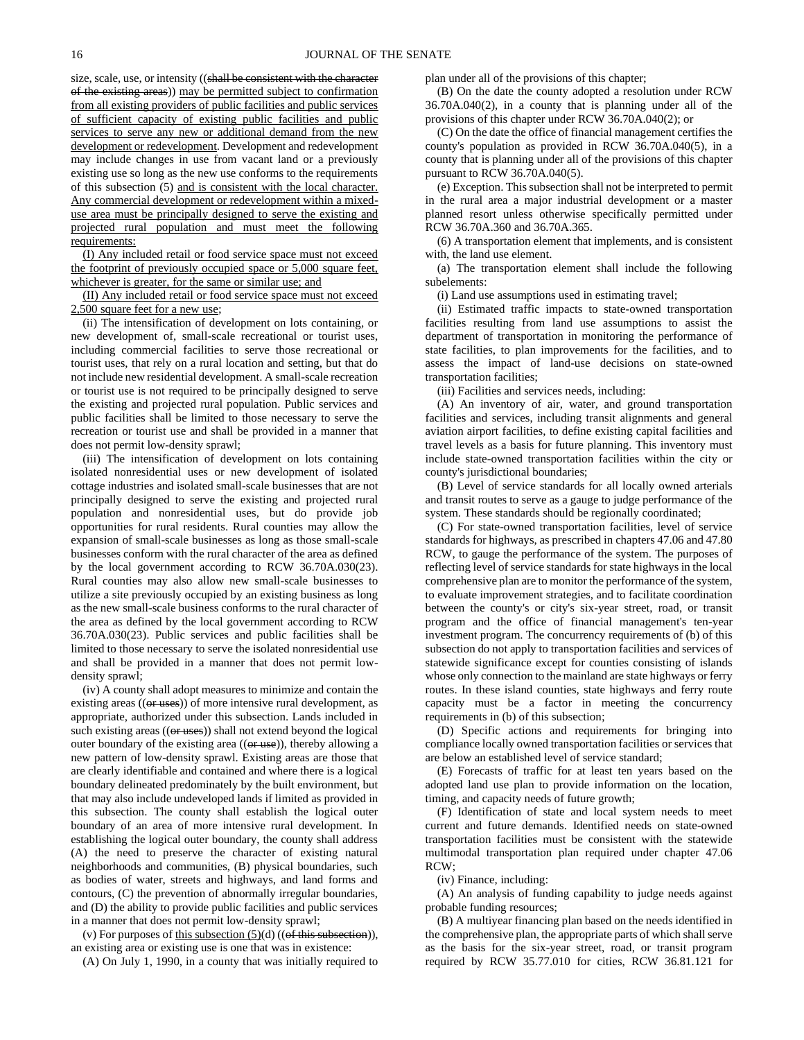size, scale, use, or intensity ((shall be consistent with the character of the existing areas)) may be permitted subject to confirmation from all existing providers of public facilities and public services of sufficient capacity of existing public facilities and public services to serve any new or additional demand from the new development or redevelopment. Development and redevelopment may include changes in use from vacant land or a previously existing use so long as the new use conforms to the requirements of this subsection (5) and is consistent with the local character. Any commercial development or redevelopment within a mixeduse area must be principally designed to serve the existing and projected rural population and must meet the following requirements:

(I) Any included retail or food service space must not exceed the footprint of previously occupied space or 5,000 square feet, whichever is greater, for the same or similar use; and

(II) Any included retail or food service space must not exceed 2,500 square feet for a new use;

(ii) The intensification of development on lots containing, or new development of, small-scale recreational or tourist uses, including commercial facilities to serve those recreational or tourist uses, that rely on a rural location and setting, but that do not include new residential development. A small-scale recreation or tourist use is not required to be principally designed to serve the existing and projected rural population. Public services and public facilities shall be limited to those necessary to serve the recreation or tourist use and shall be provided in a manner that does not permit low-density sprawl;

(iii) The intensification of development on lots containing isolated nonresidential uses or new development of isolated cottage industries and isolated small-scale businesses that are not principally designed to serve the existing and projected rural population and nonresidential uses, but do provide job opportunities for rural residents. Rural counties may allow the expansion of small-scale businesses as long as those small-scale businesses conform with the rural character of the area as defined by the local government according to RCW 36.70A.030(23). Rural counties may also allow new small-scale businesses to utilize a site previously occupied by an existing business as long as the new small-scale business conforms to the rural character of the area as defined by the local government according to RCW 36.70A.030(23). Public services and public facilities shall be limited to those necessary to serve the isolated nonresidential use and shall be provided in a manner that does not permit lowdensity sprawl;

(iv) A county shall adopt measures to minimize and contain the existing areas (( $\overline{\text{or} }$  uses)) of more intensive rural development, as appropriate, authorized under this subsection. Lands included in such existing areas (( $\theta$ r uses)) shall not extend beyond the logical outer boundary of the existing area ((or use)), thereby allowing a new pattern of low-density sprawl. Existing areas are those that are clearly identifiable and contained and where there is a logical boundary delineated predominately by the built environment, but that may also include undeveloped lands if limited as provided in this subsection. The county shall establish the logical outer boundary of an area of more intensive rural development. In establishing the logical outer boundary, the county shall address (A) the need to preserve the character of existing natural neighborhoods and communities, (B) physical boundaries, such as bodies of water, streets and highways, and land forms and contours, (C) the prevention of abnormally irregular boundaries, and (D) the ability to provide public facilities and public services in a manner that does not permit low-density sprawl;

(v) For purposes of this subsection  $(5)(d)$  ((of this subsection)), an existing area or existing use is one that was in existence:

(A) On July 1, 1990, in a county that was initially required to

plan under all of the provisions of this chapter;

(B) On the date the county adopted a resolution under RCW 36.70A.040(2), in a county that is planning under all of the provisions of this chapter under RCW 36.70A.040(2); or

(C) On the date the office of financial management certifies the county's population as provided in RCW 36.70A.040(5), in a county that is planning under all of the provisions of this chapter pursuant to RCW 36.70A.040(5).

(e) Exception. This subsection shall not be interpreted to permit in the rural area a major industrial development or a master planned resort unless otherwise specifically permitted under RCW 36.70A.360 and 36.70A.365.

(6) A transportation element that implements, and is consistent with, the land use element.

(a) The transportation element shall include the following subelements:

(i) Land use assumptions used in estimating travel;

(ii) Estimated traffic impacts to state-owned transportation facilities resulting from land use assumptions to assist the department of transportation in monitoring the performance of state facilities, to plan improvements for the facilities, and to assess the impact of land-use decisions on state-owned transportation facilities;

(iii) Facilities and services needs, including:

(A) An inventory of air, water, and ground transportation facilities and services, including transit alignments and general aviation airport facilities, to define existing capital facilities and travel levels as a basis for future planning. This inventory must include state-owned transportation facilities within the city or county's jurisdictional boundaries;

(B) Level of service standards for all locally owned arterials and transit routes to serve as a gauge to judge performance of the system. These standards should be regionally coordinated;

(C) For state-owned transportation facilities, level of service standards for highways, as prescribed in chapters 47.06 and 47.80 RCW, to gauge the performance of the system. The purposes of reflecting level of service standards for state highways in the local comprehensive plan are to monitor the performance of the system, to evaluate improvement strategies, and to facilitate coordination between the county's or city's six-year street, road, or transit program and the office of financial management's ten-year investment program. The concurrency requirements of (b) of this subsection do not apply to transportation facilities and services of statewide significance except for counties consisting of islands whose only connection to the mainland are state highways or ferry routes. In these island counties, state highways and ferry route capacity must be a factor in meeting the concurrency requirements in (b) of this subsection;

(D) Specific actions and requirements for bringing into compliance locally owned transportation facilities or services that are below an established level of service standard;

(E) Forecasts of traffic for at least ten years based on the adopted land use plan to provide information on the location, timing, and capacity needs of future growth;

(F) Identification of state and local system needs to meet current and future demands. Identified needs on state-owned transportation facilities must be consistent with the statewide multimodal transportation plan required under chapter 47.06 RCW;

(iv) Finance, including:

(A) An analysis of funding capability to judge needs against probable funding resources;

(B) A multiyear financing plan based on the needs identified in the comprehensive plan, the appropriate parts of which shall serve as the basis for the six-year street, road, or transit program required by RCW 35.77.010 for cities, RCW 36.81.121 for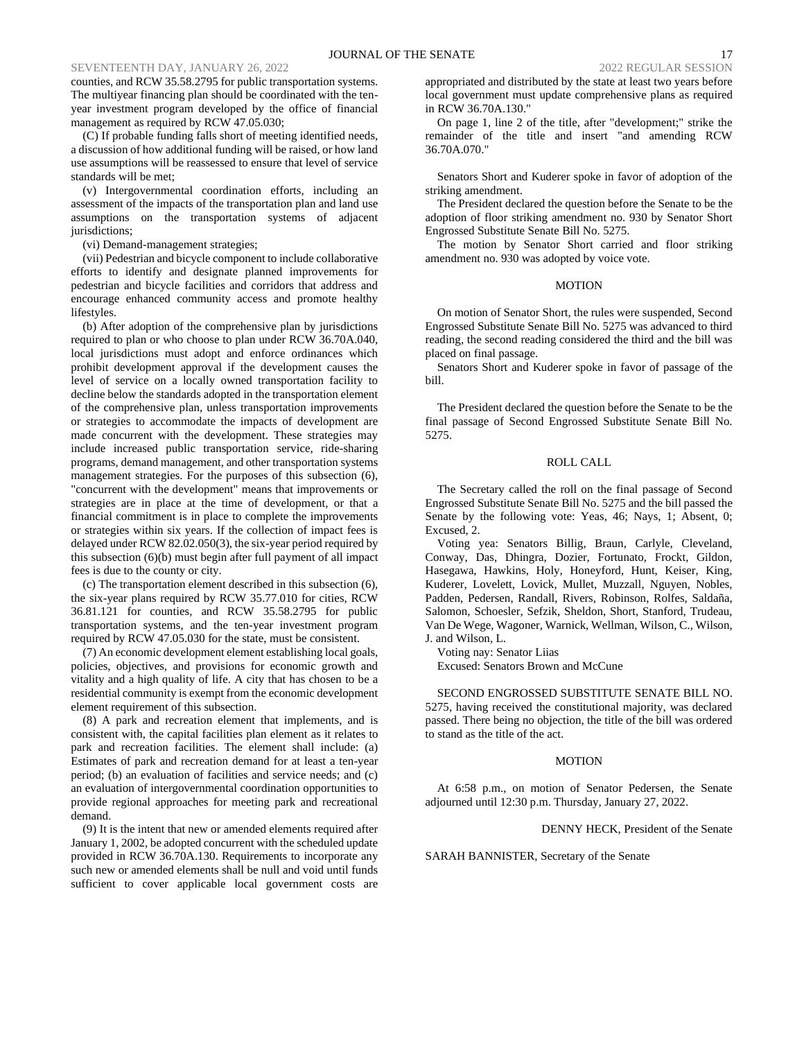counties, and RCW 35.58.2795 for public transportation systems. The multiyear financing plan should be coordinated with the tenyear investment program developed by the office of financial management as required by RCW 47.05.030;

(C) If probable funding falls short of meeting identified needs, a discussion of how additional funding will be raised, or how land use assumptions will be reassessed to ensure that level of service standards will be met;

(v) Intergovernmental coordination efforts, including an assessment of the impacts of the transportation plan and land use assumptions on the transportation systems of adjacent jurisdictions;

(vi) Demand-management strategies;

(vii) Pedestrian and bicycle component to include collaborative efforts to identify and designate planned improvements for pedestrian and bicycle facilities and corridors that address and encourage enhanced community access and promote healthy lifestyles.

(b) After adoption of the comprehensive plan by jurisdictions required to plan or who choose to plan under RCW 36.70A.040, local jurisdictions must adopt and enforce ordinances which prohibit development approval if the development causes the level of service on a locally owned transportation facility to decline below the standards adopted in the transportation element of the comprehensive plan, unless transportation improvements or strategies to accommodate the impacts of development are made concurrent with the development. These strategies may include increased public transportation service, ride-sharing programs, demand management, and other transportation systems management strategies. For the purposes of this subsection (6), "concurrent with the development" means that improvements or strategies are in place at the time of development, or that a financial commitment is in place to complete the improvements or strategies within six years. If the collection of impact fees is delayed under RCW 82.02.050(3), the six-year period required by this subsection (6)(b) must begin after full payment of all impact fees is due to the county or city.

(c) The transportation element described in this subsection (6), the six-year plans required by RCW 35.77.010 for cities, RCW 36.81.121 for counties, and RCW 35.58.2795 for public transportation systems, and the ten-year investment program required by RCW 47.05.030 for the state, must be consistent.

(7) An economic development element establishing local goals, policies, objectives, and provisions for economic growth and vitality and a high quality of life. A city that has chosen to be a residential community is exempt from the economic development element requirement of this subsection.

(8) A park and recreation element that implements, and is consistent with, the capital facilities plan element as it relates to park and recreation facilities. The element shall include: (a) Estimates of park and recreation demand for at least a ten-year period; (b) an evaluation of facilities and service needs; and (c) an evaluation of intergovernmental coordination opportunities to provide regional approaches for meeting park and recreational demand.

(9) It is the intent that new or amended elements required after January 1, 2002, be adopted concurrent with the scheduled update provided in RCW 36.70A.130. Requirements to incorporate any such new or amended elements shall be null and void until funds sufficient to cover applicable local government costs are appropriated and distributed by the state at least two years before local government must update comprehensive plans as required in RCW 36.70A.130."

On page 1, line 2 of the title, after "development;" strike the remainder of the title and insert "and amending RCW 36.70A.070."

Senators Short and Kuderer spoke in favor of adoption of the striking amendment.

The President declared the question before the Senate to be the adoption of floor striking amendment no. 930 by Senator Short Engrossed Substitute Senate Bill No. 5275.

The motion by Senator Short carried and floor striking amendment no. 930 was adopted by voice vote.

#### MOTION

On motion of Senator Short, the rules were suspended, Second Engrossed Substitute Senate Bill No. 5275 was advanced to third reading, the second reading considered the third and the bill was placed on final passage.

Senators Short and Kuderer spoke in favor of passage of the bill.

The President declared the question before the Senate to be the final passage of Second Engrossed Substitute Senate Bill No. 5275.

#### ROLL CALL

The Secretary called the roll on the final passage of Second Engrossed Substitute Senate Bill No. 5275 and the bill passed the Senate by the following vote: Yeas, 46; Nays, 1; Absent, 0; Excused, 2.

Voting yea: Senators Billig, Braun, Carlyle, Cleveland, Conway, Das, Dhingra, Dozier, Fortunato, Frockt, Gildon, Hasegawa, Hawkins, Holy, Honeyford, Hunt, Keiser, King, Kuderer, Lovelett, Lovick, Mullet, Muzzall, Nguyen, Nobles, Padden, Pedersen, Randall, Rivers, Robinson, Rolfes, Saldaña, Salomon, Schoesler, Sefzik, Sheldon, Short, Stanford, Trudeau, Van De Wege, Wagoner, Warnick, Wellman, Wilson, C., Wilson, J. and Wilson, L.

Voting nay: Senator Liias Excused: Senators Brown and McCune

SECOND ENGROSSED SUBSTITUTE SENATE BILL NO. 5275, having received the constitutional majority, was declared passed. There being no objection, the title of the bill was ordered to stand as the title of the act.

#### MOTION

At 6:58 p.m., on motion of Senator Pedersen, the Senate adjourned until 12:30 p.m. Thursday, January 27, 2022.

DENNY HECK, President of the Senate

SARAH BANNISTER, Secretary of the Senate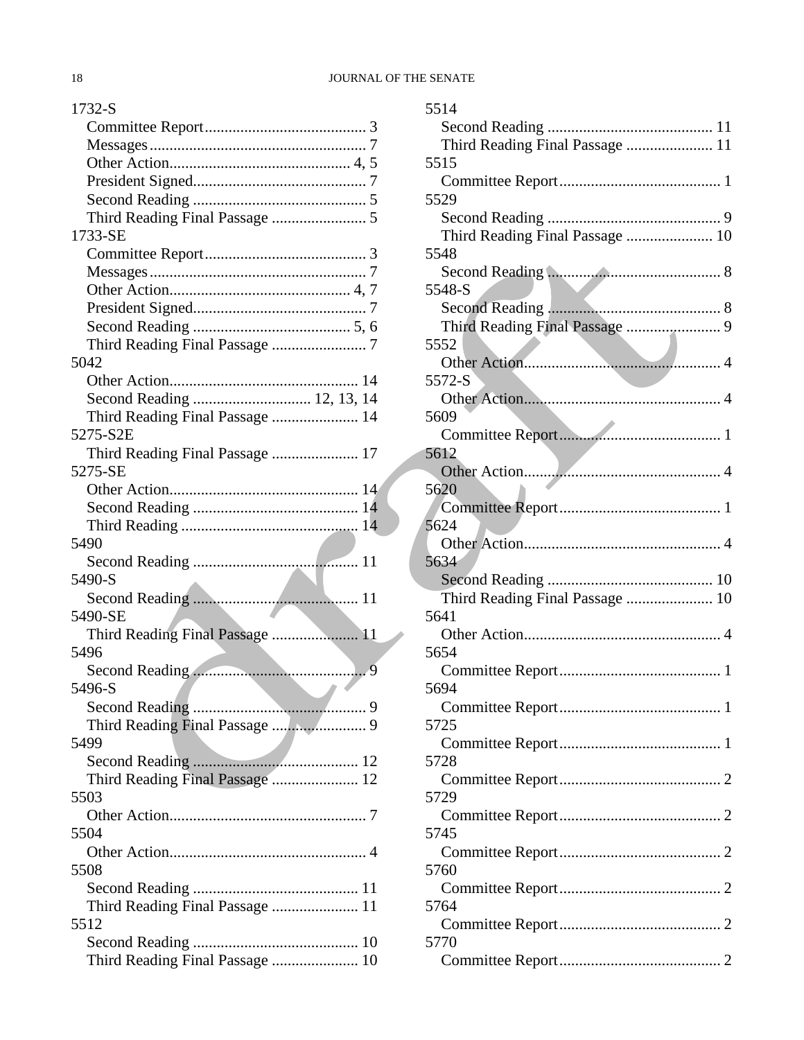| 1732-S                          |
|---------------------------------|
|                                 |
|                                 |
|                                 |
|                                 |
|                                 |
|                                 |
| 1733-SE                         |
|                                 |
|                                 |
|                                 |
|                                 |
|                                 |
|                                 |
| 5042                            |
|                                 |
|                                 |
| Third Reading Final Passage  14 |
| 5275-S2E                        |
| Third Reading Final Passage  17 |
| 5275-SE                         |
|                                 |
|                                 |
|                                 |
|                                 |
| 5490                            |
|                                 |
| 5490-S                          |
|                                 |
| 5490-SE                         |
| Third Reading Final Passage  11 |
| 5496                            |
|                                 |
| 5496-S                          |
|                                 |
| Third Reading Final Passage  9  |
| 5499                            |
|                                 |
| Third Reading Final Passage  12 |
| 5503                            |
|                                 |
| 5504                            |
|                                 |
| 5508                            |
|                                 |
| Third Reading Final Passage  11 |
| 5512                            |
| Third Reading Final Passage  10 |

| 5514                            |
|---------------------------------|
|                                 |
| Third Reading Final Passage  11 |
| 5515                            |
|                                 |
| 5529                            |
|                                 |
| Third Reading Final Passage  10 |
| 5548                            |
|                                 |
| 5548-S                          |
|                                 |
| Third Reading Final Passage  9  |
| 5552                            |
|                                 |
| 5572-S                          |
|                                 |
| 5609                            |
| 5612                            |
|                                 |
| 5620                            |
|                                 |
| 5624                            |
|                                 |
| 5634                            |
|                                 |
|                                 |
| 5641                            |
|                                 |
| 5654                            |
|                                 |
| 5694                            |
|                                 |
| 5725                            |
|                                 |
| 5728                            |
| 5729                            |
|                                 |
| 5745                            |
|                                 |
| 5760                            |
|                                 |
| 5764                            |
|                                 |
| 5770                            |
|                                 |
|                                 |